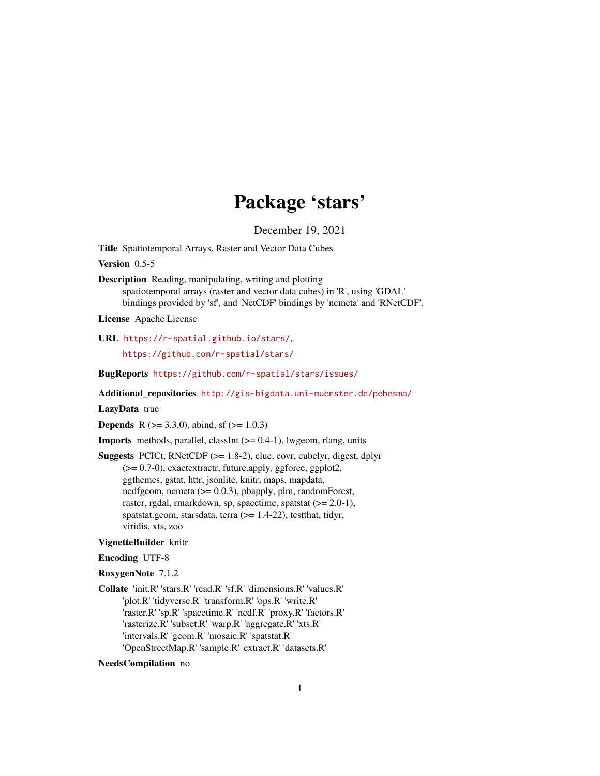# Package 'stars'

December 19, 2021

<span id="page-0-0"></span>Title Spatiotemporal Arrays, Raster and Vector Data Cubes

Version 0.5-5

Description Reading, manipulating, writing and plotting spatiotemporal arrays (raster and vector data cubes) in 'R', using 'GDAL' bindings provided by 'sf', and 'NetCDF' bindings by 'ncmeta' and 'RNetCDF'.

License Apache License

URL <https://r-spatial.github.io/stars/>, <https://github.com/r-spatial/stars/>

BugReports <https://github.com/r-spatial/stars/issues/>

Additional\_repositories <http://gis-bigdata.uni-muenster.de/pebesma/>

## LazyData true

**Depends** R ( $>= 3.3.0$ ), abind, sf ( $>= 1.0.3$ )

**Imports** methods, parallel, classInt  $(>= 0.4-1)$ , lwgeom, rlang, units

Suggests PCICt, RNetCDF (>= 1.8-2), clue, covr, cubelyr, digest, dplyr (>= 0.7-0), exactextractr, future.apply, ggforce, ggplot2, ggthemes, gstat, httr, jsonlite, knitr, maps, mapdata, ncdfgeom, ncmeta (>= 0.0.3), pbapply, plm, randomForest, raster, rgdal, rmarkdown, sp, spacetime, spatstat (>= 2.0-1), spatstat.geom, starsdata, terra (>= 1.4-22), testthat, tidyr, viridis, xts, zoo

#### VignetteBuilder knitr

#### Encoding UTF-8

#### RoxygenNote 7.1.2

Collate 'init.R' 'stars.R' 'read.R' 'sf.R' 'dimensions.R' 'values.R' 'plot.R' 'tidyverse.R' 'transform.R' 'ops.R' 'write.R' 'raster.R' 'sp.R' 'spacetime.R' 'ncdf.R' 'proxy.R' 'factors.R' 'rasterize.R' 'subset.R' 'warp.R' 'aggregate.R' 'xts.R' 'intervals.R' 'geom.R' 'mosaic.R' 'spatstat.R' 'OpenStreetMap.R' 'sample.R' 'extract.R' 'datasets.R'

#### NeedsCompilation no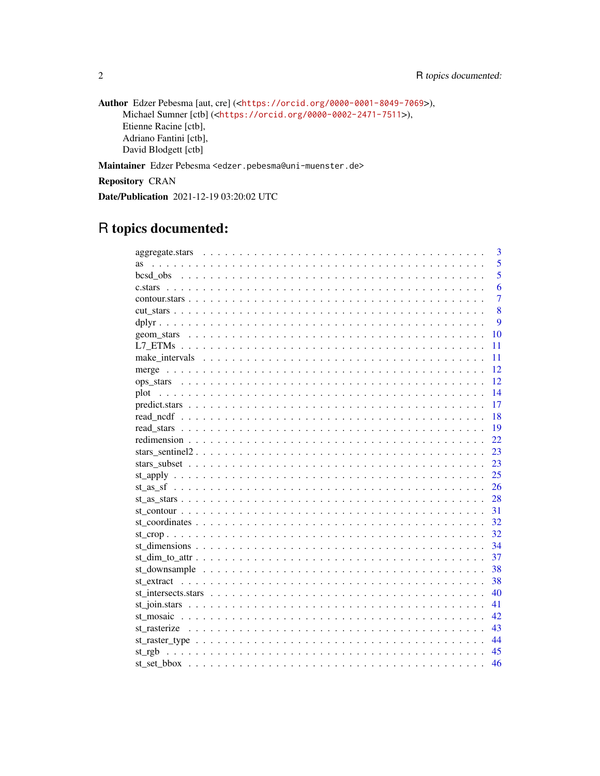```
Author Edzer Pebesma [aut, cre] (<https://orcid.org/0000-0001-8049-7069>),
     Michael Sumner [ctb] (<https://orcid.org/0000-0002-2471-7511>),
     Etienne Racine [ctb],
     Adriano Fantini [ctb],
     David Blodgett [ctb]
```
Maintainer Edzer Pebesma <edzer.pebesma@uni-muenster.de>

Repository CRAN

Date/Publication 2021-12-19 03:20:02 UTC

## R topics documented:

|           |  | 3              |
|-----------|--|----------------|
| <b>as</b> |  | 5              |
|           |  | 5              |
|           |  | 6              |
|           |  | $\overline{7}$ |
|           |  | 8              |
|           |  | 9              |
|           |  | 10             |
|           |  | 11             |
|           |  | 11             |
|           |  | 12             |
|           |  | 12             |
|           |  | 14             |
|           |  | 17             |
|           |  | 18             |
|           |  | 19             |
|           |  | 22             |
|           |  | 23             |
|           |  | 23             |
|           |  | 25             |
|           |  | 26             |
|           |  | 28             |
|           |  | 31             |
|           |  | 32             |
|           |  | 32             |
|           |  | 34             |
|           |  | 37             |
|           |  | 38             |
|           |  | 38             |
|           |  | 40             |
|           |  | 41             |
|           |  | 42             |
|           |  | 43             |
|           |  | 44             |
|           |  | 45             |
|           |  | 46             |

 $\overline{2}$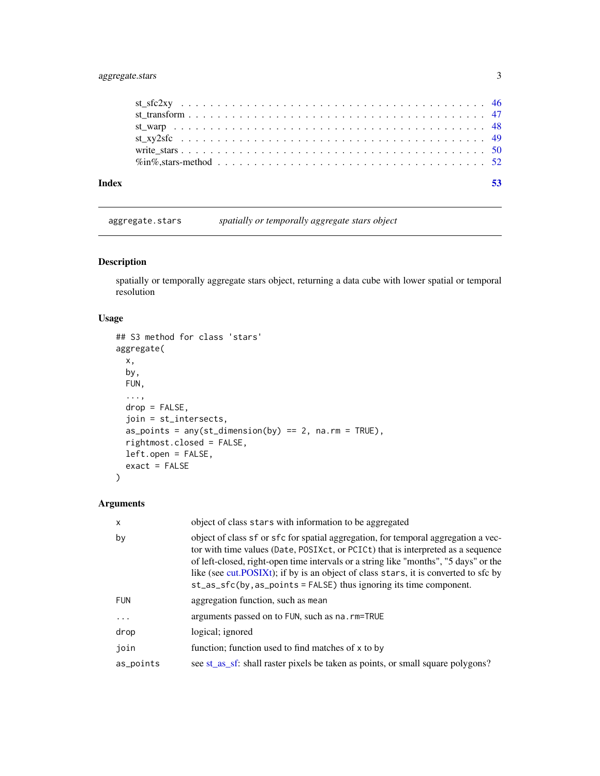## <span id="page-2-0"></span>aggregate.stars 3

| Index |  |  |  |  |  |  |  |  |  |  |  |  |  |  |  |  |
|-------|--|--|--|--|--|--|--|--|--|--|--|--|--|--|--|--|
|       |  |  |  |  |  |  |  |  |  |  |  |  |  |  |  |  |
|       |  |  |  |  |  |  |  |  |  |  |  |  |  |  |  |  |
|       |  |  |  |  |  |  |  |  |  |  |  |  |  |  |  |  |
|       |  |  |  |  |  |  |  |  |  |  |  |  |  |  |  |  |
|       |  |  |  |  |  |  |  |  |  |  |  |  |  |  |  |  |
|       |  |  |  |  |  |  |  |  |  |  |  |  |  |  |  |  |

<span id="page-2-1"></span>aggregate.stars *spatially or temporally aggregate stars object*

## Description

spatially or temporally aggregate stars object, returning a data cube with lower spatial or temporal resolution

## Usage

```
## S3 method for class 'stars'
aggregate(
 x,
 by,
 FUN,
  ...,
 drop = FALSE,
 join = st_intersects,
 as_points = any(st\_dimension(by) == 2, na.rm = TRUE),rightmost.closed = FALSE,
 left.open = FALSE,
 exact = FALSE)
```

| $\times$   | object of class stars with information to be aggregated                                                                                                                                                                                                                                                                                                                                                                                     |
|------------|---------------------------------------------------------------------------------------------------------------------------------------------------------------------------------------------------------------------------------------------------------------------------------------------------------------------------------------------------------------------------------------------------------------------------------------------|
| by         | object of class sf or sfc for spatial aggregation, for temporal aggregation a vec-<br>tor with time values (Date, POSIXct, or PCICt) that is interpreted as a sequence<br>of left-closed, right-open time intervals or a string like "months", "5 days" or the<br>like (see cut.POSIXt); if by is an object of class stars, it is converted to sfc by<br>$st\_\nsigma_s$ fc(by, as $\_\point s = FALSE$ ) thus ignoring its time component. |
| <b>FUN</b> | aggregation function, such as mean                                                                                                                                                                                                                                                                                                                                                                                                          |
| $\cdots$   | arguments passed on to FUN, such as na. rm=TRUE                                                                                                                                                                                                                                                                                                                                                                                             |
| drop       | logical; ignored                                                                                                                                                                                                                                                                                                                                                                                                                            |
| join       | function; function used to find matches of x to by                                                                                                                                                                                                                                                                                                                                                                                          |
| as_points  | see st_as_sf: shall raster pixels be taken as points, or small square polygons?                                                                                                                                                                                                                                                                                                                                                             |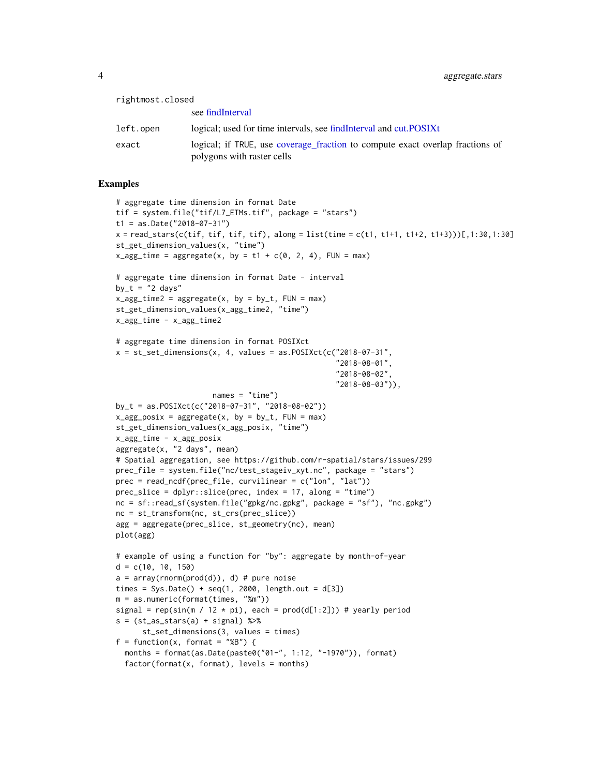<span id="page-3-0"></span>

| rightmost.closed |                                                                                                             |
|------------------|-------------------------------------------------------------------------------------------------------------|
|                  | see findInterval                                                                                            |
| left.open        | logical; used for time intervals, see find Interval and cut. POSIXt                                         |
| exact            | logical; if TRUE, use coverage fraction to compute exact overlap fractions of<br>polygons with raster cells |

```
# aggregate time dimension in format Date
tif = system.file("tif/L7_ETMs.tif", package = "stars")
t1 = as.Date("2018-07-31")
x = read\_stars(c(tif, tif, tif, tif), along = list(time = c(t1, t1+1, t1+2, t1+3)))[1, 1:30, 1:30]st_get_dimension_values(x, "time")
x\text{-}agg\text{-}time = aggregate(x, by = t1 + c(0, 2, 4), FUN = max)# aggregate time dimension in format Date - interval
by_t = "2 days"x\text{-}agg\text{-}time2 = aggregate(x, by = by\text{-}t, FUN = max)st_get_dimension_values(x_agg_time2, "time")
x_agg_time - x_agg_time2
# aggregate time dimension in format POSIXct
x = st_set_dimensions(x, 4, values = as.POSIXct(c("2018-07-31",
                                                    "2018-08-01",
                                                    "2018-08-02",
                                                    "2018-08-03")),
                      names = "time")
by_t = as.POSIXct(c("2018-07-31", "2018-08-02"))
x\text{-}agg\text{-}posix = aggregate(x, by = by_t, Flow = max)st_get_dimension_values(x_agg_posix, "time")
x_agg_time - x_agg_posix
aggregate(x, "2 days", mean)
# Spatial aggregation, see https://github.com/r-spatial/stars/issues/299
prec_file = system.file("nc/test_stageiv_xyt.nc", package = "stars")
prec = read_ncdf(prec_file, curvilinear = c("lon", "lat"))
prec\_slice = dplyr::slice(prec, index = 17, along = "time")nc = sf::read_sf(system.file("gpkg/nc.gpkg", package = "sf"), "nc.gpkg")
nc = st_transform(nc, st_crs(prec_slice))
agg = aggregate(prec_slice, st_geometry(nc), mean)
plot(agg)
# example of using a function for "by": aggregate by month-of-year
d = c(10, 10, 150)a = array(rnorm(prod(d)), d) # pure noise
times = Sys.Date() + seq(1, 2000, length.out = d[3])
m = as.numeric(format(times, "%m"))
signal = rep(sin(m / 12 * pi), each = prod(d[1:2]) # yearly period
s = (st_as\_stars(a) + signal) %>%
      st_set_dimensions(3, values = times)
f = function(x, format = "&B") {
  months = format(as.Date(paste0("01-", 1:12, "-1970")), format)
  factor(format(x, format), levels = months)
```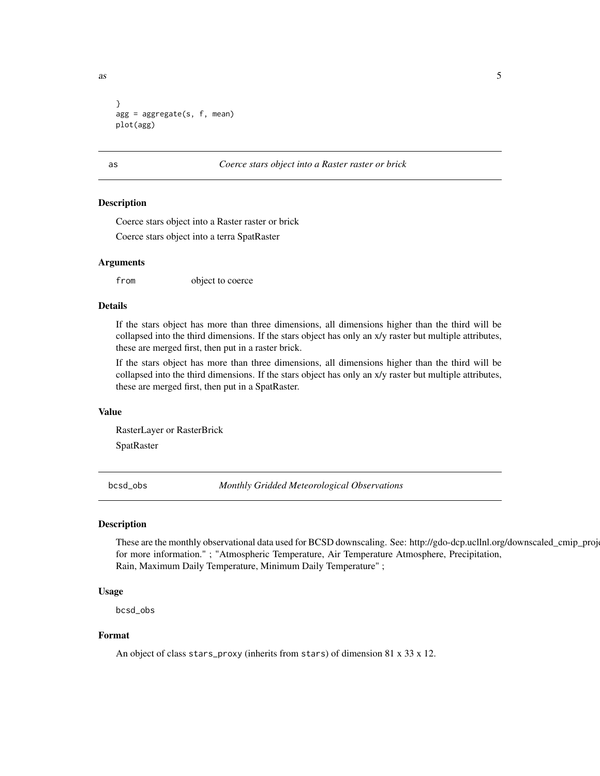<span id="page-4-0"></span> $\frac{1}{2}$  as  $\frac{5}{2}$ 

```
}
agg = aggregate(s, f, mean)
plot(agg)
```
#### as *Coerce stars object into a Raster raster or brick*

#### Description

Coerce stars object into a Raster raster or brick Coerce stars object into a terra SpatRaster

#### Arguments

from object to coerce

## Details

If the stars object has more than three dimensions, all dimensions higher than the third will be collapsed into the third dimensions. If the stars object has only an x/y raster but multiple attributes, these are merged first, then put in a raster brick.

If the stars object has more than three dimensions, all dimensions higher than the third will be collapsed into the third dimensions. If the stars object has only an x/y raster but multiple attributes, these are merged first, then put in a SpatRaster.

#### Value

RasterLayer or RasterBrick

SpatRaster

bcsd\_obs *Monthly Gridded Meteorological Observations*

#### Description

These are the monthly observational data used for BCSD downscaling. See: http://gdo-dcp.ucllnl.org/downscaled\_cmip\_proj for more information." ; "Atmospheric Temperature, Air Temperature Atmosphere, Precipitation, Rain, Maximum Daily Temperature, Minimum Daily Temperature" ;

#### Usage

bcsd\_obs

#### Format

An object of class stars\_proxy (inherits from stars) of dimension 81 x 33 x 12.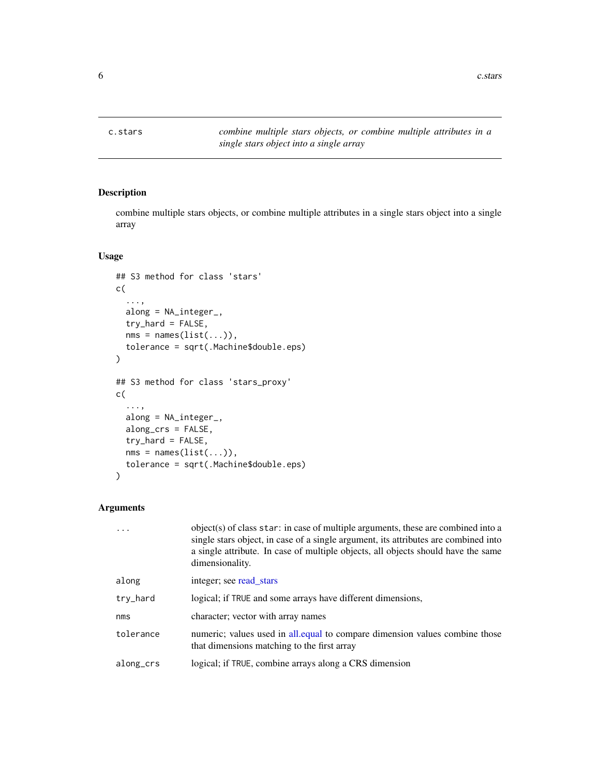<span id="page-5-1"></span><span id="page-5-0"></span>

combine multiple stars objects, or combine multiple attributes in a single stars object into a single array

#### Usage

```
## S3 method for class 'stars'
c(
  ...,
  along = NA_integer_,
  try_hard = FALSE,
 nms = names(list(...)),tolerance = sqrt(.Machine$double.eps)
)
## S3 method for class 'stars_proxy'
c(
  ...,
 along = NA_integer_,
 along_crs = FALSE,
 try_hard = FALSE,
 nms = names(list(...)),tolerance = sqrt(.Machine$double.eps)
)
```

|           | object(s) of class star: in case of multiple arguments, these are combined into a<br>single stars object, in case of a single argument, its attributes are combined into<br>a single attribute. In case of multiple objects, all objects should have the same<br>dimensionality. |
|-----------|----------------------------------------------------------------------------------------------------------------------------------------------------------------------------------------------------------------------------------------------------------------------------------|
| along     | integer; see read stars                                                                                                                                                                                                                                                          |
| try_hard  | logical; if TRUE and some arrays have different dimensions,                                                                                                                                                                                                                      |
| nms       | character; vector with array names                                                                                                                                                                                                                                               |
| tolerance | numeric; values used in all equal to compare dimension values combine those<br>that dimensions matching to the first array                                                                                                                                                       |
| along_crs | logical; if TRUE, combine arrays along a CRS dimension                                                                                                                                                                                                                           |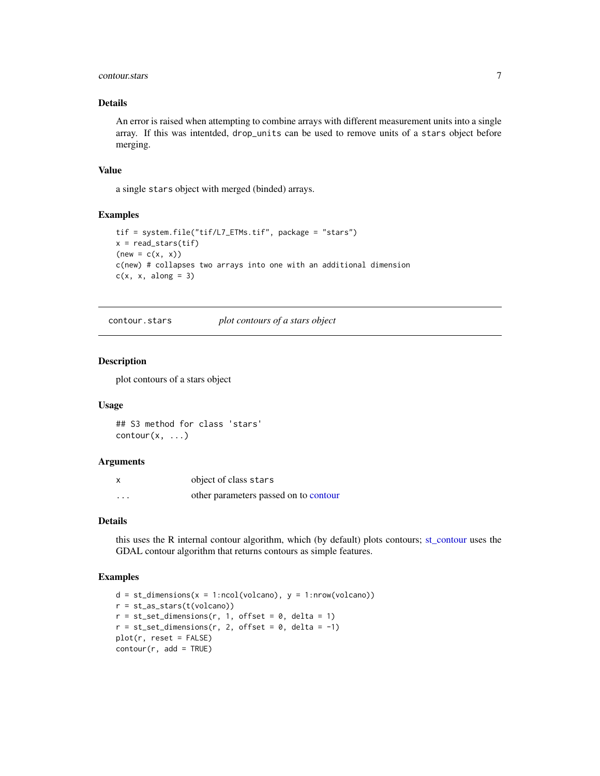#### <span id="page-6-0"></span>contour.stars 7

## Details

An error is raised when attempting to combine arrays with different measurement units into a single array. If this was intentded, drop\_units can be used to remove units of a stars object before merging.

#### Value

a single stars object with merged (binded) arrays.

## Examples

```
tif = system.file("tif/L7_ETMs.tif", package = "stars")
x = read\_stars(tif)(new = c(x, x))c(new) # collapses two arrays into one with an additional dimension
c(x, x, along = 3)
```
contour.stars *plot contours of a stars object*

#### Description

plot contours of a stars object

#### Usage

```
## S3 method for class 'stars'
contour(x, \ldots)
```
#### Arguments

| X        | object of class stars                 |
|----------|---------------------------------------|
| $\cdots$ | other parameters passed on to contour |

#### Details

this uses the R internal contour algorithm, which (by default) plots contours; [st\\_contour](#page-30-1) uses the GDAL contour algorithm that returns contours as simple features.

```
d = st\_dimensions(x = 1:ncol(volcano), y = 1:ncov(volcano))r = st_as_stars(t(volcano))
r = st_set\_dimensions(r, 1, offset = 0, delta = 1)r = st_set_dimensions(r, 2, offset = 0, delta = -1)plot(r, reset = FALSE)
contour(r, add = TRUE)
```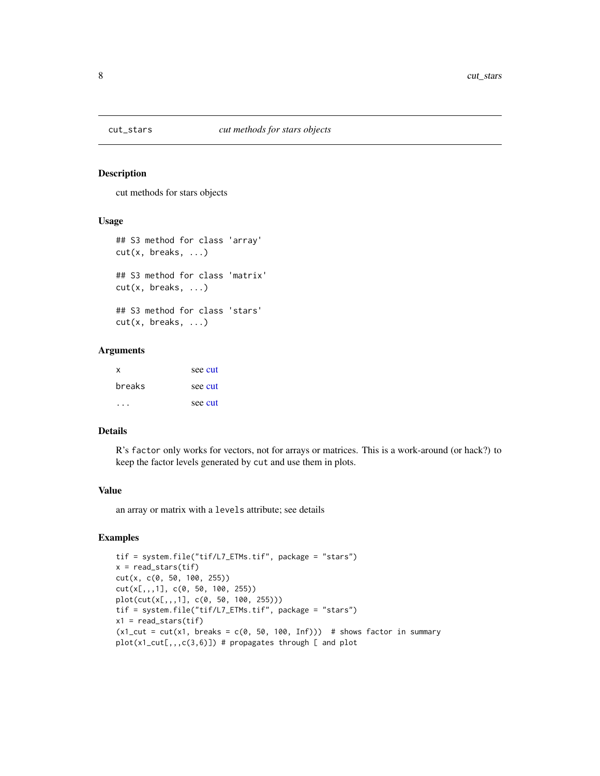<span id="page-7-0"></span>

cut methods for stars objects

## Usage

```
## S3 method for class 'array'
cut(x, breaks, ...)
## S3 method for class 'matrix'
cut(x, breaks, ...)
## S3 method for class 'stars'
cut(x, breaks, ...)
```
## Arguments

| x      | see cut |
|--------|---------|
| breaks | see cut |
|        | see cut |

## Details

R's factor only works for vectors, not for arrays or matrices. This is a work-around (or hack?) to keep the factor levels generated by cut and use them in plots.

## Value

an array or matrix with a levels attribute; see details

```
tif = system.file("tif/L7_ETMs.tif", package = "stars")
x = read\_stars(tif)cut(x, c(0, 50, 100, 255))
cut(x[,,,1], c(0, 50, 100, 255))
plot(cut(x[,,,1], c(0, 50, 100, 255)))
tif = system.file("tif/L7_ETMs.tif", package = "stars")
x1 = read\_stars(tif)(x1-cut = cut(x1, breaks = c(0, 50, 100, Inf))) # shows factor in summary
plot(x1_cut[,,,c(3,6)]) # propagates through [ and plot
```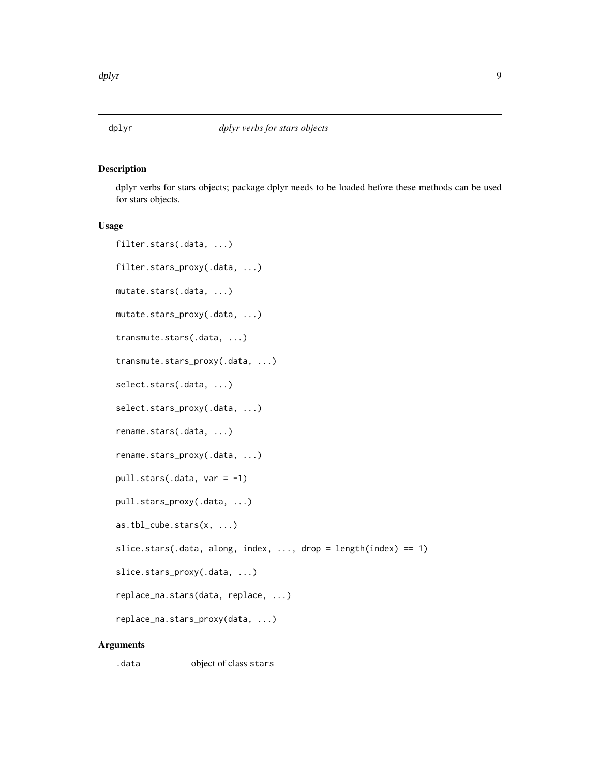<span id="page-8-0"></span>

dplyr verbs for stars objects; package dplyr needs to be loaded before these methods can be used for stars objects.

## Usage

```
filter.stars(.data, ...)
filter.stars_proxy(.data, ...)
mutate.stars(.data, ...)
mutate.stars_proxy(.data, ...)
transmute.stars(.data, ...)
transmute.stars_proxy(.data, ...)
select.stars(.data, ...)
select.stars_proxy(.data, ...)
rename.stars(.data, ...)
rename.stars_proxy(.data, ...)
pull.stars(.data, var = -1)
pull.stars_proxy(.data, ...)
as.tbl_cube.stars(x, ...)
slice.stars(.data, along, index, ..., drop = length(index) == 1)
slice.stars_proxy(.data, ...)
replace_na.stars(data, replace, ...)
replace_na.stars_proxy(data, ...)
```
## Arguments

.data object of class stars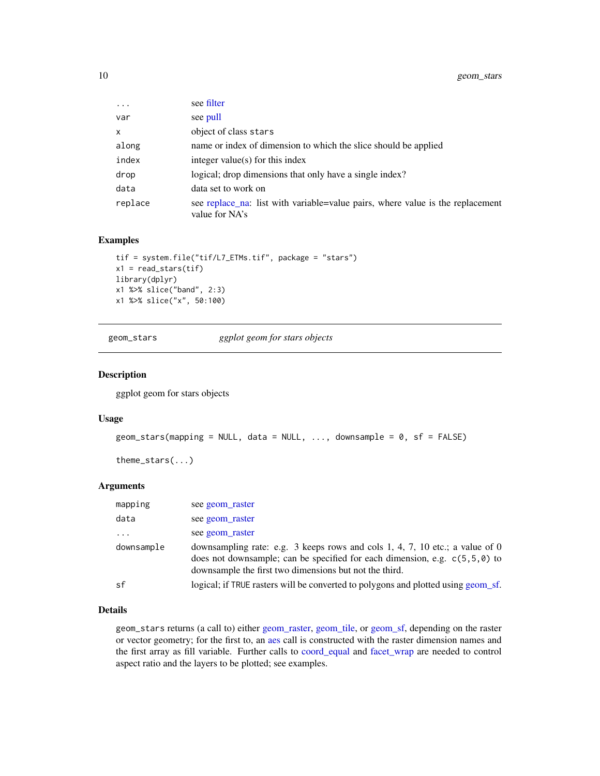<span id="page-9-0"></span>

| $\cdots$     | see filter                                                                                       |
|--------------|--------------------------------------------------------------------------------------------------|
| var          | see pull                                                                                         |
| $\mathsf{x}$ | object of class stars                                                                            |
| along        | name or index of dimension to which the slice should be applied                                  |
| index        | integer value(s) for this index                                                                  |
| drop         | logical; drop dimensions that only have a single index?                                          |
| data         | data set to work on                                                                              |
| replace      | see replace_na: list with variable=value pairs, where value is the replacement<br>value for NA's |

#### Examples

```
tif = system.file("tif/L7_ETMs.tif", package = "stars")
x1 = read\_stars(tif)library(dplyr)
x1 %>% slice("band", 2:3)
x1 %>% slice("x", 50:100)
```
geom\_stars *ggplot geom for stars objects*

#### Description

ggplot geom for stars objects

#### Usage

```
geom_stars(mapping = NULL, data = NULL, \ldots, downsample = 0, sf = FALSE)
```
theme\_stars(...)

#### Arguments

| mapping    | see geom raster                                                                                                                                                                                                        |
|------------|------------------------------------------------------------------------------------------------------------------------------------------------------------------------------------------------------------------------|
| data       | see geom raster                                                                                                                                                                                                        |
| $\cdot$    | see geom raster                                                                                                                                                                                                        |
| downsample | downsampling rate: e.g. 3 keeps rows and cols 1, 4, 7, 10 etc.; a value of 0<br>does not downsample; can be specified for each dimension, e.g. $c(5,5,0)$ to<br>downsample the first two dimensions but not the third. |
| sf         | logical; if TRUE rasters will be converted to polygons and plotted using geom sf.                                                                                                                                      |

## Details

geom\_stars returns (a call to) either [geom\\_raster,](#page-0-0) [geom\\_tile,](#page-0-0) or [geom\\_sf,](#page-0-0) depending on the raster or vector geometry; for the first to, an [aes](#page-0-0) call is constructed with the raster dimension names and the first array as fill variable. Further calls to [coord\\_equal](#page-0-0) and [facet\\_wrap](#page-0-0) are needed to control aspect ratio and the layers to be plotted; see examples.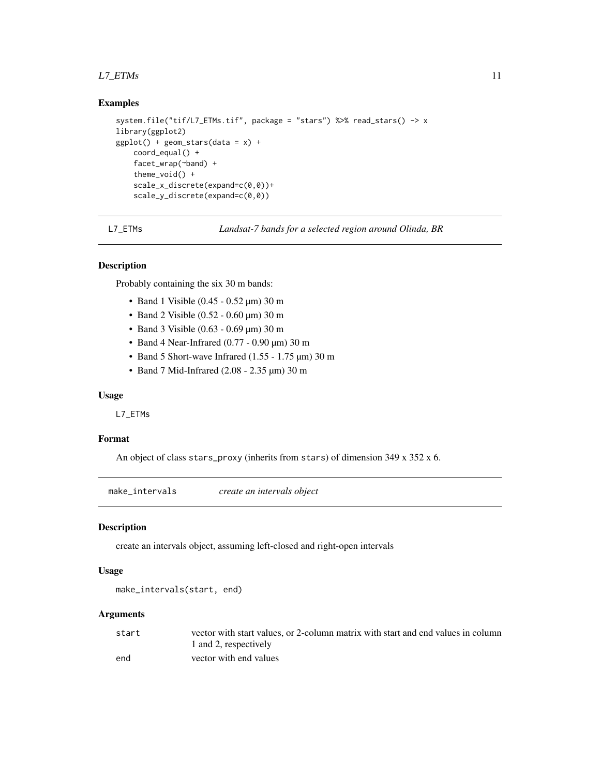#### <span id="page-10-0"></span> $L7\_ETMs$  11

#### Examples

```
system.file("tif/L7_ETMs.tif", package = "stars") %>% read_stars() -> x
library(ggplot2)
ggplot() + geom\_stars(data = x) +coord_equal() +
    facet_wrap(~band) +
   theme_void() +
    scale_x_discrete(expand=c(0,0))+
    scale_y_discrete(expand=c(0,0))
```
L7\_ETMs *Landsat-7 bands for a selected region around Olinda, BR*

## Description

Probably containing the six 30 m bands:

- Band 1 Visible (0.45 0.52 µm) 30 m
- Band 2 Visible (0.52 0.60 µm) 30 m
- Band 3 Visible (0.63 0.69 µm) 30 m
- Band 4 Near-Infrared (0.77 0.90 µm) 30 m
- Band 5 Short-wave Infrared (1.55 1.75 µm) 30 m
- Band 7 Mid-Infrared (2.08 2.35 µm) 30 m

#### Usage

L7\_ETMs

#### Format

An object of class stars\_proxy (inherits from stars) of dimension 349 x 352 x 6.

make\_intervals *create an intervals object*

## Description

create an intervals object, assuming left-closed and right-open intervals

#### Usage

```
make_intervals(start, end)
```

| start | vector with start values, or 2-column matrix with start and end values in column |
|-------|----------------------------------------------------------------------------------|
|       | 1 and 2, respectively                                                            |
| end   | vector with end values                                                           |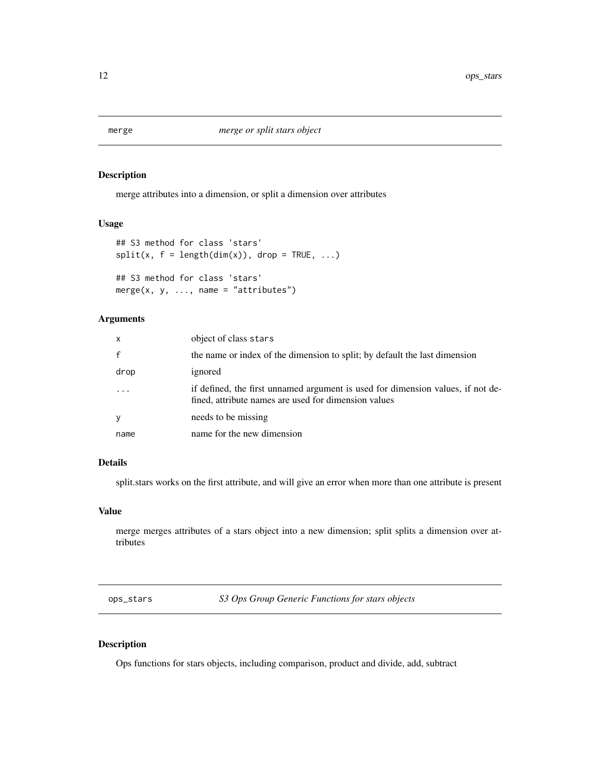<span id="page-11-0"></span>

merge attributes into a dimension, or split a dimension over attributes

## Usage

```
## S3 method for class 'stars'
split(x, f = length(dim(x)), drop = TRUE, ...)## S3 method for class 'stars'
merge(x, y, \ldots, name = "attributes")
```
## Arguments

| $\mathsf{x}$ | object of class stars                                                                                                                   |
|--------------|-----------------------------------------------------------------------------------------------------------------------------------------|
| $\mathbf{f}$ | the name or index of the dimension to split; by default the last dimension                                                              |
| drop         | ignored                                                                                                                                 |
|              | if defined, the first unnamed argument is used for dimension values, if not de-<br>fined, attribute names are used for dimension values |
| y            | needs to be missing                                                                                                                     |
| name         | name for the new dimension                                                                                                              |

## Details

split.stars works on the first attribute, and will give an error when more than one attribute is present

## Value

merge merges attributes of a stars object into a new dimension; split splits a dimension over attributes

ops\_stars *S3 Ops Group Generic Functions for stars objects*

## Description

Ops functions for stars objects, including comparison, product and divide, add, subtract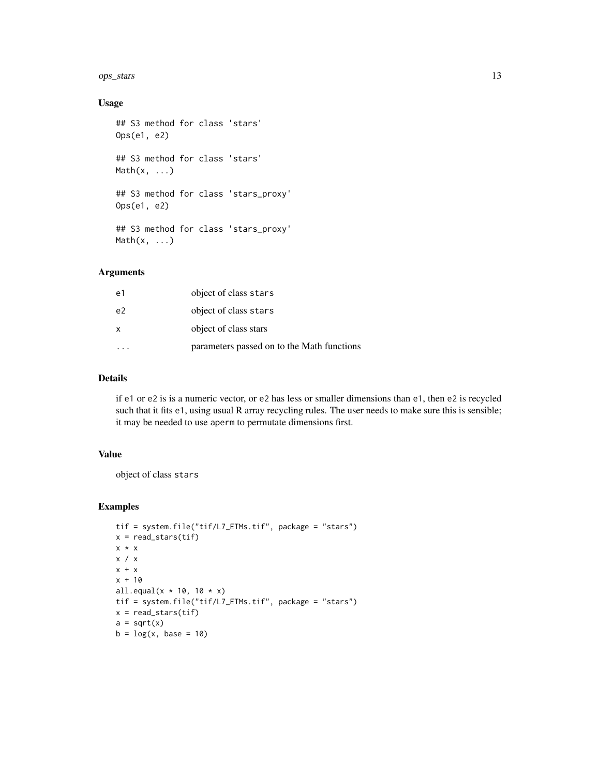ops\_stars 13

## Usage

```
## S3 method for class 'stars'
Ops(e1, e2)
## S3 method for class 'stars'
Math(x, \ldots)## S3 method for class 'stars_proxy'
Ops(e1, e2)
## S3 method for class 'stars_proxy'
Math(x, \ldots)
```
## Arguments

| e1 | object of class stars                      |
|----|--------------------------------------------|
| e2 | object of class stars                      |
| X  | object of class stars                      |
|    | parameters passed on to the Math functions |

## Details

if e1 or e2 is is a numeric vector, or e2 has less or smaller dimensions than e1, then e2 is recycled such that it fits e1, using usual R array recycling rules. The user needs to make sure this is sensible; it may be needed to use aperm to permutate dimensions first.

## Value

object of class stars

```
tif = system.file("tif/L7_ETMs.tif", package = "stars")
x = read\_stars(tif)x * x
x / x
x + xx + 10all.equal(x * 10, 10 * x)
tif = system.file("tif/L7_ETMs.tif", package = "stars")
x = read\_stars(tif)a = sqrt(x)b = log(x, base = 10)
```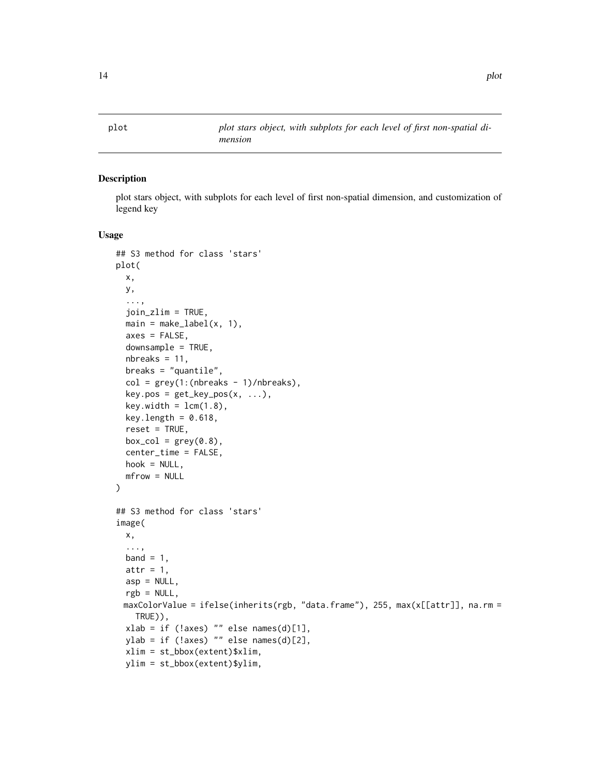plot *plot stars object, with subplots for each level of first non-spatial dimension*

## Description

plot stars object, with subplots for each level of first non-spatial dimension, and customization of legend key

#### Usage

```
## S3 method for class 'stars'
plot(
 x,
 y,
  ...,
  join_zlim = TRUE,
  main = make\_label(x, 1),axes = FALSE,downsample = TRUE,
  nbreaks = 11,
  breaks = "quantile",
  col = grey(1:(nbreaks - 1)/nbreaks),key.pos = get\_key_pos(x, ...),key.width = lcm(1.8),
  key.length = 0.618,reset = TRUE,box_col = grey(0.8),
  center_time = FALSE,
  hook = NULL,
  mfrow = NULL
)
## S3 method for class 'stars'
image(
  x,
  ...,
  band = 1,
  attr = 1,asp = NULL,rgb = NULL,maxColorValue = ifelse(inherits(rgb, "data-frame"), 255, max(x[[attr]], na.rm =TRUE)),
  xlab = if (!axes) "" else names(d)[1],
 ylab = if (!axes) "" else names(d)[2],
  xlim = st_bbox(extent)$xlim,
  ylim = st_bbox(extent)$ylim,
```
<span id="page-13-0"></span>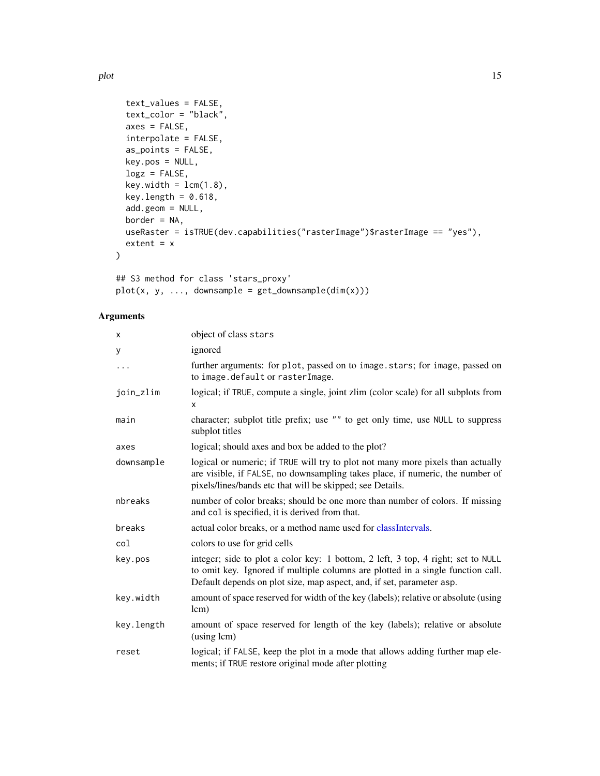```
text_values = FALSE,
 text_color = "black",
 axes = FALSE,interpolate = FALSE,
  as_points = FALSE,
 key.pos = NULL,
 \log z = FALSE,
 key.width = lcm(1.8),
 key.length = 0.618,
 add.geom = NULL,
 border = NA,
 useRaster = isTRUE(dev.capabilities("rasterImage")$rasterImage == "yes"),
 extent = x)
```
## S3 method for class 'stars\_proxy'  $plot(x, y, ..., downsample = get_downsample(dim(x)))$ 

| object of class stars                                                                                                                                                                                                                        |
|----------------------------------------------------------------------------------------------------------------------------------------------------------------------------------------------------------------------------------------------|
| ignored                                                                                                                                                                                                                                      |
| further arguments: for plot, passed on to image.stars; for image, passed on<br>to image.default or rasterImage.                                                                                                                              |
| logical; if TRUE, compute a single, joint zlim (color scale) for all subplots from<br>x                                                                                                                                                      |
| character; subplot title prefix; use "" to get only time, use NULL to suppress<br>subplot titles                                                                                                                                             |
| logical; should axes and box be added to the plot?                                                                                                                                                                                           |
| logical or numeric; if TRUE will try to plot not many more pixels than actually<br>are visible, if FALSE, no downsampling takes place, if numeric, the number of<br>pixels/lines/bands etc that will be skipped; see Details.                |
| number of color breaks; should be one more than number of colors. If missing<br>and col is specified, it is derived from that.                                                                                                               |
| actual color breaks, or a method name used for classIntervals.                                                                                                                                                                               |
| colors to use for grid cells                                                                                                                                                                                                                 |
| integer; side to plot a color key: 1 bottom, 2 left, 3 top, 4 right; set to NULL<br>to omit key. Ignored if multiple columns are plotted in a single function call.<br>Default depends on plot size, map aspect, and, if set, parameter asp. |
| amount of space reserved for width of the key (labels); relative or absolute (using<br>lcm)                                                                                                                                                  |
| amount of space reserved for length of the key (labels); relative or absolute<br>(using lcm)                                                                                                                                                 |
| logical; if FALSE, keep the plot in a mode that allows adding further map ele-<br>ments; if TRUE restore original mode after plotting                                                                                                        |
|                                                                                                                                                                                                                                              |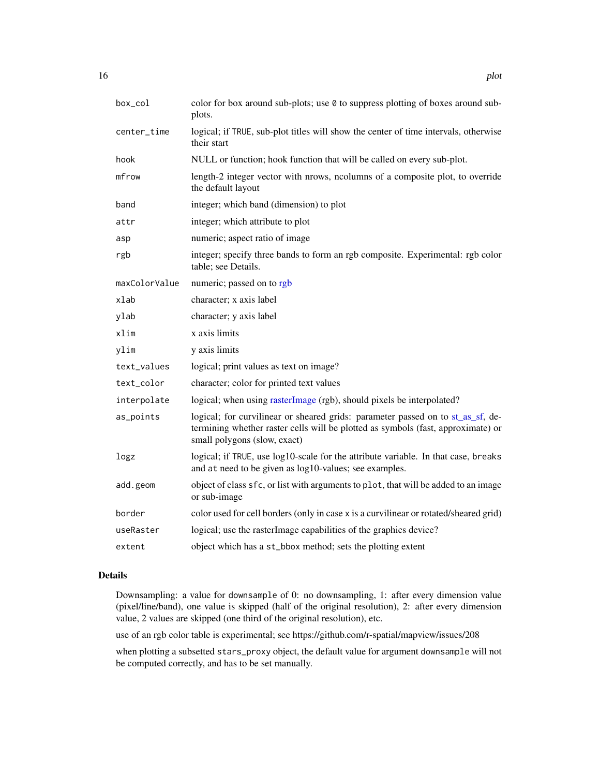<span id="page-15-0"></span>

| $box_{col}$   | color for box around sub-plots; use 0 to suppress plotting of boxes around sub-<br>plots.                                                                                                           |
|---------------|-----------------------------------------------------------------------------------------------------------------------------------------------------------------------------------------------------|
| center_time   | logical; if TRUE, sub-plot titles will show the center of time intervals, otherwise<br>their start                                                                                                  |
| hook          | NULL or function; hook function that will be called on every sub-plot.                                                                                                                              |
| mfrow         | length-2 integer vector with nrows, neolumns of a composite plot, to override<br>the default layout                                                                                                 |
| band          | integer; which band (dimension) to plot                                                                                                                                                             |
| attr          | integer; which attribute to plot                                                                                                                                                                    |
| asp           | numeric; aspect ratio of image                                                                                                                                                                      |
| rgb           | integer; specify three bands to form an rgb composite. Experimental: rgb color<br>table; see Details.                                                                                               |
| maxColorValue | numeric; passed on to rgb                                                                                                                                                                           |
| xlab          | character; x axis label                                                                                                                                                                             |
| ylab          | character; y axis label                                                                                                                                                                             |
| xlim          | x axis limits                                                                                                                                                                                       |
| ylim          | y axis limits                                                                                                                                                                                       |
| text_values   | logical; print values as text on image?                                                                                                                                                             |
| text_color    | character; color for printed text values                                                                                                                                                            |
| interpolate   | logical; when using rasterImage (rgb), should pixels be interpolated?                                                                                                                               |
| as_points     | logical; for curvilinear or sheared grids: parameter passed on to st_as_sf, de-<br>termining whether raster cells will be plotted as symbols (fast, approximate) or<br>small polygons (slow, exact) |
| logz          | logical; if TRUE, use log10-scale for the attribute variable. In that case, breaks<br>and at need to be given as log10-values; see examples.                                                        |
| add.geom      | object of class sfc, or list with arguments to plot, that will be added to an image<br>or sub-image                                                                                                 |
| border        | color used for cell borders (only in case x is a curvilinear or rotated/sheared grid)                                                                                                               |
| useRaster     | logical; use the rasterImage capabilities of the graphics device?                                                                                                                                   |
| extent        | object which has a st_bbox method; sets the plotting extent                                                                                                                                         |

## Details

Downsampling: a value for downsample of 0: no downsampling, 1: after every dimension value (pixel/line/band), one value is skipped (half of the original resolution), 2: after every dimension value, 2 values are skipped (one third of the original resolution), etc.

use of an rgb color table is experimental; see https://github.com/r-spatial/mapview/issues/208

when plotting a subsetted stars\_proxy object, the default value for argument downsample will not be computed correctly, and has to be set manually.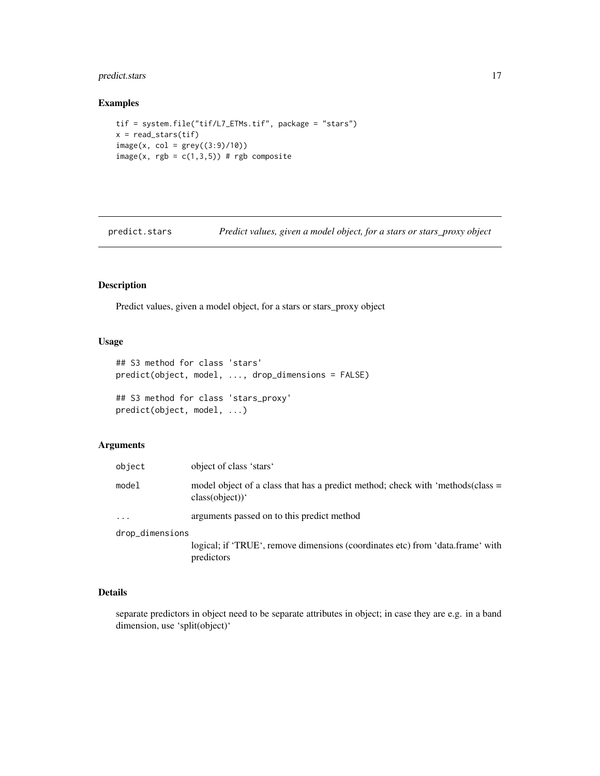## <span id="page-16-0"></span>predict.stars 17

## Examples

```
tif = system.file("tif/L7_ETMs.tif", package = "stars")
x = read\_stars(tif)image(x, col = grey((3:9)/10))image(x, rgb = c(1, 3, 5)) # rgb composite
```
predict.stars *Predict values, given a model object, for a stars or stars\_proxy object*

## Description

Predict values, given a model object, for a stars or stars\_proxy object

## Usage

```
## S3 method for class 'stars'
predict(object, model, ..., drop_dimensions = FALSE)
## S3 method for class 'stars_proxy'
predict(object, model, ...)
```
#### Arguments

| object          | object of class 'stars'                                                                          |  |
|-----------------|--------------------------------------------------------------------------------------------------|--|
| model           | model object of a class that has a predict method; check with 'methods(class =<br>class(object)) |  |
| $\ddots$ .      | arguments passed on to this predict method                                                       |  |
| drop_dimensions |                                                                                                  |  |
|                 | logical; if 'TRUE', remove dimensions (coordinates etc) from 'data.frame' with<br>predictors     |  |

## Details

separate predictors in object need to be separate attributes in object; in case they are e.g. in a band dimension, use 'split(object)'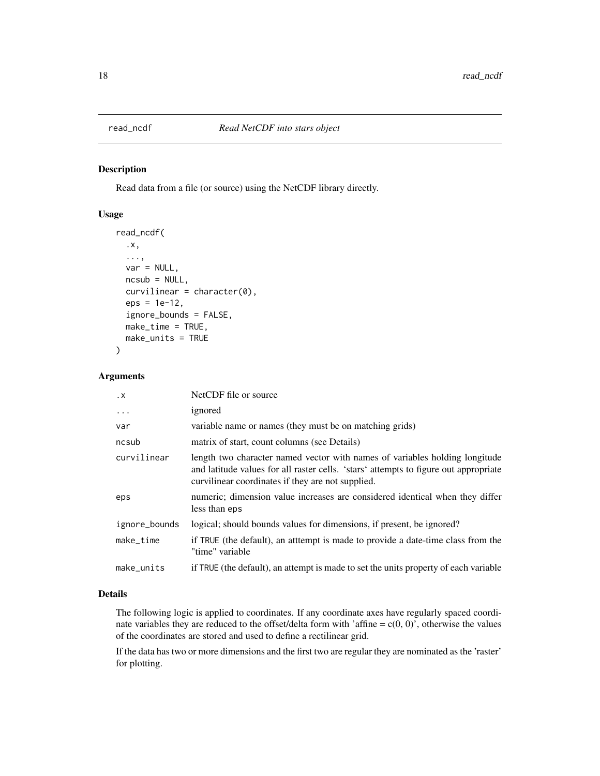<span id="page-17-0"></span>

Read data from a file (or source) using the NetCDF library directly.

#### Usage

```
read_ncdf(
  .x,
  ...,
 var = NULL,ncsub = NULL,curvilinear = character(0),
 eps = 1e-12,
  ignore_bounds = FALSE,
 make_time = TRUE,
 make_units = TRUE
\mathcal{L}
```
## Arguments

| $\cdot$ X     | NetCDF file or source                                                                                                                                                                                                    |
|---------------|--------------------------------------------------------------------------------------------------------------------------------------------------------------------------------------------------------------------------|
| $\ddots$      | ignored                                                                                                                                                                                                                  |
| var           | variable name or names (they must be on matching grids)                                                                                                                                                                  |
| ncsub         | matrix of start, count columns (see Details)                                                                                                                                                                             |
| curvilinear   | length two character named vector with names of variables holding longitude<br>and latitude values for all raster cells. 'stars' attempts to figure out appropriate<br>curvilinear coordinates if they are not supplied. |
| eps           | numeric; dimension value increases are considered identical when they differ<br>less than eps                                                                                                                            |
| ignore_bounds | logical; should bounds values for dimensions, if present, be ignored?                                                                                                                                                    |
| make_time     | if TRUE (the default), an attempt is made to provide a date-time class from the<br>"time" variable                                                                                                                       |
| make_units    | if TRUE (the default), an attempt is made to set the units property of each variable                                                                                                                                     |

#### Details

The following logic is applied to coordinates. If any coordinate axes have regularly spaced coordinate variables they are reduced to the offset/delta form with 'affine =  $c(0, 0)$ ', otherwise the values of the coordinates are stored and used to define a rectilinear grid.

If the data has two or more dimensions and the first two are regular they are nominated as the 'raster' for plotting.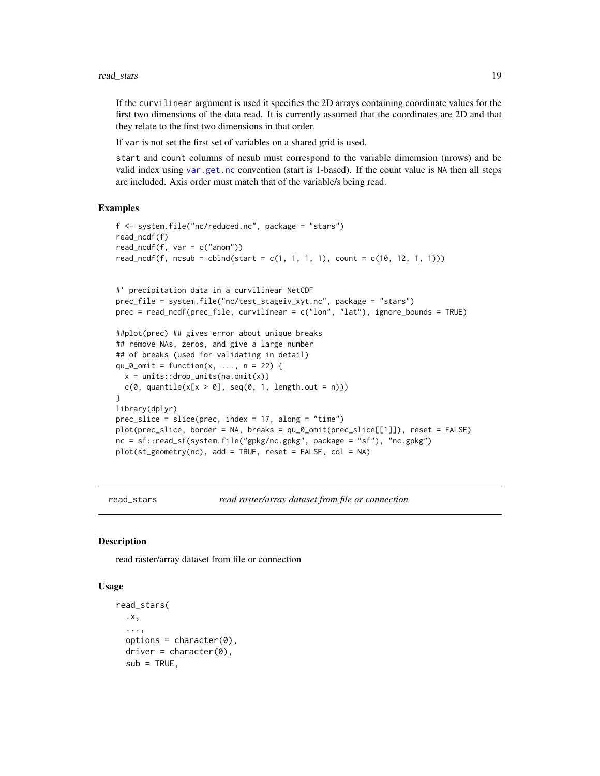<span id="page-18-0"></span>If the curvilinear argument is used it specifies the 2D arrays containing coordinate values for the first two dimensions of the data read. It is currently assumed that the coordinates are 2D and that they relate to the first two dimensions in that order.

If var is not set the first set of variables on a shared grid is used.

start and count columns of ncsub must correspond to the variable dimemsion (nrows) and be valid index using [var.get.nc](#page-0-0) convention (start is 1-based). If the count value is NA then all steps are included. Axis order must match that of the variable/s being read.

#### Examples

```
f <- system.file("nc/reduced.nc", package = "stars")
read_ncdf(f)
read_ncdf(f, var = c("anom"))
read_ncdf(f, ncsub = cbind(start = c(1, 1, 1, 1), count = c(10, 12, 1, 1)))
#' precipitation data in a curvilinear NetCDF
prec_file = system.file("nc/test_stageiv_xyt.nc", package = "stars")
prec = read_ncdf(prec_file, curvilinear = c("lon", "lat"), ignore_bounds = TRUE)
##plot(prec) ## gives error about unique breaks
## remove NAs, zeros, and give a large number
## of breaks (used for validating in detail)
qu_0_omit = function(x, ..., n = 22) {
 x = units::drop\_units(na.omit(x))c(0, quantile(x[x > 0], seq(0, 1, length.out = n)))
}
library(dplyr)
prec\_slice = slice(prec, index = 17, along = "time")plot(prec_slice, border = NA, breaks = qu_0_omit(prec_slice[[1]]), reset = FALSE)
nc = sf::read_sf(system.file("gpkg/nc.gpkg", package = "sf"), "nc.gpkg")
plot(st_geometry(nc), add = TRUE, reset = FALSE, col = NA)
```
read\_stars *read raster/array dataset from file or connection*

#### Description

read raster/array dataset from file or connection

#### Usage

```
read_stars(
  .x,
  ...,
  options = character(0),
  \text{driver} = \text{character}(0),sub = TRUE,
```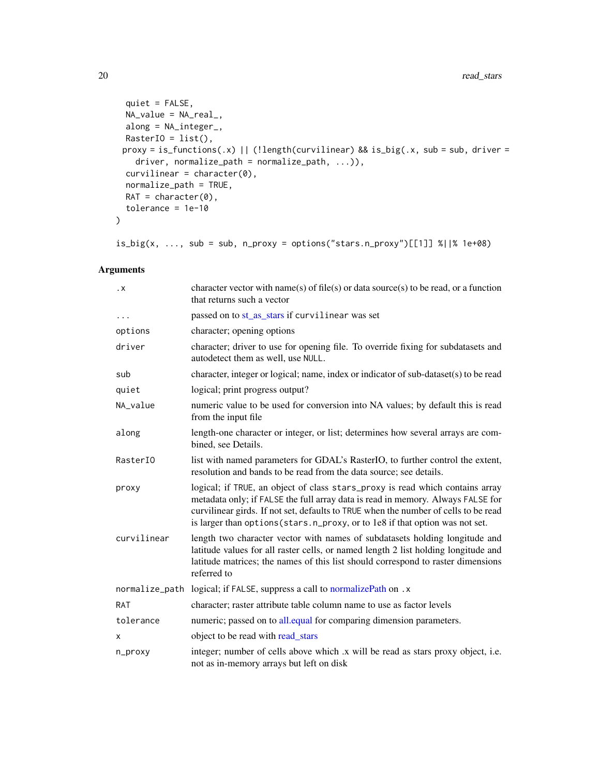```
quiet = FALSE,
 NA_value = NA_real_,
 along = NA_integer_,
 RasterIO = list(),proxy = is_functions(.x) || (!length(curvilinear) && is_big(.x, sub = sub, driver =
   driver, normalize_path = normalize_path, ...)),
 curvilinear = character(0),
 normalize_path = TRUE,
 RAT = character(0),
  tolerance = 1e-10
\mathcal{L}
```
 $is\_big(x, ..., sub = sub, n\_proxy = options("stars.n\_proxy")$ [[1]] %||% 1e+08)

| $\cdot$ X   | character vector with name(s) of file(s) or data source(s) to be read, or a function<br>that returns such a vector                                                                                                                                                                                                                      |
|-------------|-----------------------------------------------------------------------------------------------------------------------------------------------------------------------------------------------------------------------------------------------------------------------------------------------------------------------------------------|
| $\cdots$    | passed on to st_as_stars if curvilinear was set                                                                                                                                                                                                                                                                                         |
| options     | character; opening options                                                                                                                                                                                                                                                                                                              |
| driver      | character; driver to use for opening file. To override fixing for subdatasets and<br>autodetect them as well, use NULL.                                                                                                                                                                                                                 |
| sub         | character, integer or logical; name, index or indicator of sub-dataset(s) to be read                                                                                                                                                                                                                                                    |
| quiet       | logical; print progress output?                                                                                                                                                                                                                                                                                                         |
| NA_value    | numeric value to be used for conversion into NA values; by default this is read<br>from the input file                                                                                                                                                                                                                                  |
| along       | length-one character or integer, or list; determines how several arrays are com-<br>bined, see Details.                                                                                                                                                                                                                                 |
| RasterI0    | list with named parameters for GDAL's RasterIO, to further control the extent,<br>resolution and bands to be read from the data source; see details.                                                                                                                                                                                    |
| proxy       | logical; if TRUE, an object of class stars_proxy is read which contains array<br>metadata only; if FALSE the full array data is read in memory. Always FALSE for<br>curvilinear girds. If not set, defaults to TRUE when the number of cells to be read<br>is larger than options (stars.n_proxy, or to 1e8 if that option was not set. |
| curvilinear | length two character vector with names of subdatasets holding longitude and<br>latitude values for all raster cells, or named length 2 list holding longitude and<br>latitude matrices; the names of this list should correspond to raster dimensions<br>referred to                                                                    |
|             | normalize_path logical; if FALSE, suppress a call to normalizePath on .x                                                                                                                                                                                                                                                                |
| <b>RAT</b>  | character; raster attribute table column name to use as factor levels                                                                                                                                                                                                                                                                   |
| tolerance   | numeric; passed on to all equal for comparing dimension parameters.                                                                                                                                                                                                                                                                     |
| x           | object to be read with read_stars                                                                                                                                                                                                                                                                                                       |
| n_proxy     | integer; number of cells above which x will be read as stars proxy object, i.e.<br>not as in-memory arrays but left on disk                                                                                                                                                                                                             |

<span id="page-19-0"></span>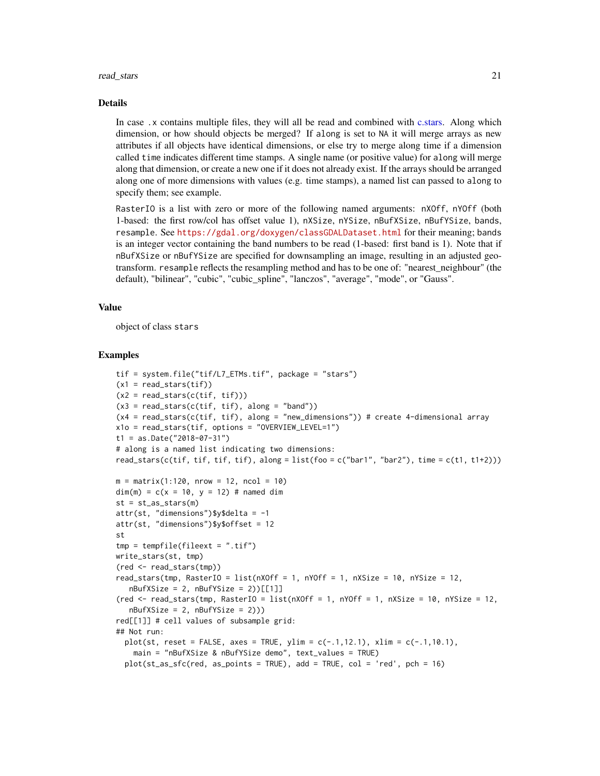#### <span id="page-20-0"></span>read\_stars 21

#### Details

In case .x contains multiple files, they will all be read and combined with [c.stars.](#page-5-1) Along which dimension, or how should objects be merged? If along is set to NA it will merge arrays as new attributes if all objects have identical dimensions, or else try to merge along time if a dimension called time indicates different time stamps. A single name (or positive value) for along will merge along that dimension, or create a new one if it does not already exist. If the arrays should be arranged along one of more dimensions with values (e.g. time stamps), a named list can passed to along to specify them; see example.

RasterIO is a list with zero or more of the following named arguments: nXOff, nYOff (both 1-based: the first row/col has offset value 1), nXSize, nYSize, nBufXSize, nBufYSize, bands, resample. See <https://gdal.org/doxygen/classGDALDataset.html> for their meaning; bands is an integer vector containing the band numbers to be read (1-based: first band is 1). Note that if nBufXSize or nBufYSize are specified for downsampling an image, resulting in an adjusted geotransform. resample reflects the resampling method and has to be one of: "nearest\_neighbour" (the default), "bilinear", "cubic", "cubic\_spline", "lanczos", "average", "mode", or "Gauss".

#### Value

object of class stars

```
tif = system.file("tif/L7_ETMs.tif", package = "stars")
(x1 = read\_stars(tif))(x2 = read\_stars(c(itf, tit)))(x3 = read\_stars(c(tif, tif), along = "band"))(x4 = read\_stars(c(itf, tf), along = "new\_dimensions")) # create 4-dimensional arrayx1o = read_stars(tif, options = "OVERVIEW_LEVEL=1")
t1 = as.Date("2018-07-31")
# along is a named list indicating two dimensions:
read_stars(c(tif, tif, tif, tif), along = list(foo = c("bar1", "bar2"), time = c(t1, t1+2)))
m = matrix(1:120, nrow = 12, ncol = 10)dim(m) = c(x = 10, y = 12) # named dim
st = st_as\_stars(m)attr(st, "dimensions")$y$delta = -1
attr(st, "dimensions")$y$offset = 12
st
tmp = template(fileext = ".tif")write_stars(st, tmp)
(red <- read_stars(tmp))
read_stars(tmp, RasterIO = list(nXOff = 1, nYOff = 1, nXSize = 10, nYSize = 12.
   nBufXSize = 2, nBufYSize = 2) [[1]]
(red \le read_stars(tmp, RasterIO = list(nXOff = 1, nYOff = 1, nXSize = 10, nYSize = 12,
   nBufXSize = 2, nBufYSize = 2)))
red[[1]] # cell values of subsample grid:
## Not run:
  plot(st, reset = FALSE, axes = TRUE, ylim = c(-.1, 12.1), xlim = c(-.1, 10.1),main = "nBufXSize & nBufYSize demo", text_values = TRUE)
  plot(st\_as\_sfc(red, as\_points = TRUE), add = TRUE, col = 'red', pch = 16)
```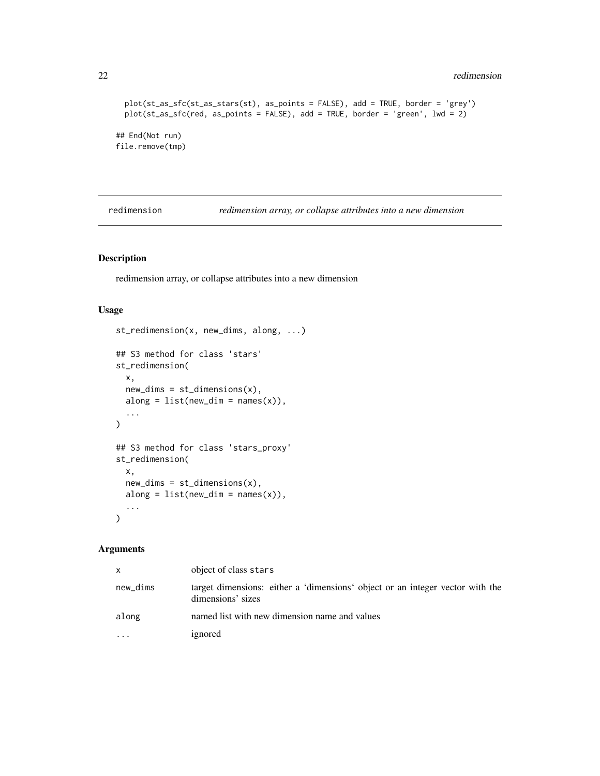## <span id="page-21-0"></span>22 redimension and the contract of the contract of the contract of the contract of the contract of the contract of the contract of the contract of the contract of the contract of the contract of the contract of the contrac

```
plot(st_as_sfc(st_as_stars(st), as_points = FALSE), add = TRUE, border = 'grey')
 plot(st_as_sfc(red, as_points = FALSE), add = TRUE, border = 'green', lwd = 2)
## End(Not run)
file.remove(tmp)
```
redimension *redimension array, or collapse attributes into a new dimension*

## Description

redimension array, or collapse attributes into a new dimension

#### Usage

```
st_redimension(x, new_dims, along, ...)
## S3 method for class 'stars'
st_redimension(
 x,
 new\_dims = st\_dimensions(x),
 along = list(new\_dim = names(x)),...
)
## S3 method for class 'stars_proxy'
st_redimension(
 x,
 new\_dims = st\_dimensions(x),
 along = list(new\_dim = names(x)),...
\mathcal{L}
```

| X        | object of class stars                                                                              |
|----------|----------------------------------------------------------------------------------------------------|
| new_dims | target dimensions: either a 'dimensions' object or an integer vector with the<br>dimensions' sizes |
| along    | named list with new dimension name and values                                                      |
| $\cdots$ | ignored                                                                                            |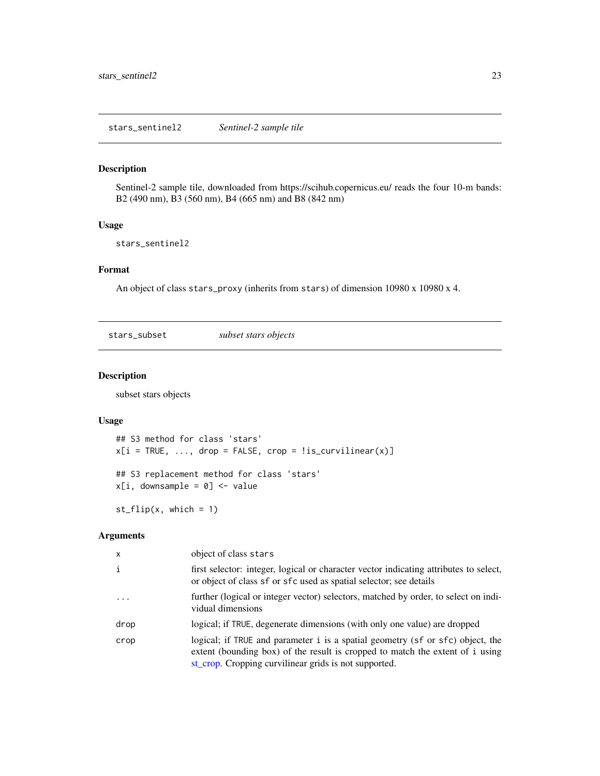<span id="page-22-0"></span>Sentinel-2 sample tile, downloaded from https://scihub.copernicus.eu/ reads the four 10-m bands: B2 (490 nm), B3 (560 nm), B4 (665 nm) and B8 (842 nm)

## Usage

stars\_sentinel2

## Format

An object of class stars\_proxy (inherits from stars) of dimension 10980 x 10980 x 4.

stars\_subset *subset stars objects*

#### <span id="page-22-1"></span>Description

subset stars objects

## Usage

```
## S3 method for class 'stars'
x[i = TRUE, ..., drop = FALSE, crop = !is_curvilinear(x)]## S3 replacement method for class 'stars'
x[i, downsample = 0] <- value
```
 $st_flip(x, which = 1)$ 

| $\mathsf{x}$ | object of class stars                                                                                                                                                                                                    |
|--------------|--------------------------------------------------------------------------------------------------------------------------------------------------------------------------------------------------------------------------|
| $\mathbf{i}$ | first selector: integer, logical or character vector indicating attributes to select,<br>or object of class sf or sfc used as spatial selector; see details                                                              |
| $\ddots$     | further (logical or integer vector) selectors, matched by order, to select on indi-<br>vidual dimensions                                                                                                                 |
| drop         | logical; if TRUE, degenerate dimensions (with only one value) are dropped                                                                                                                                                |
| crop         | logical; if TRUE and parameter i is a spatial geometry (sf or sfc) object, the<br>extent (bounding box) of the result is cropped to match the extent of i using<br>st_crop. Cropping curvilinear grids is not supported. |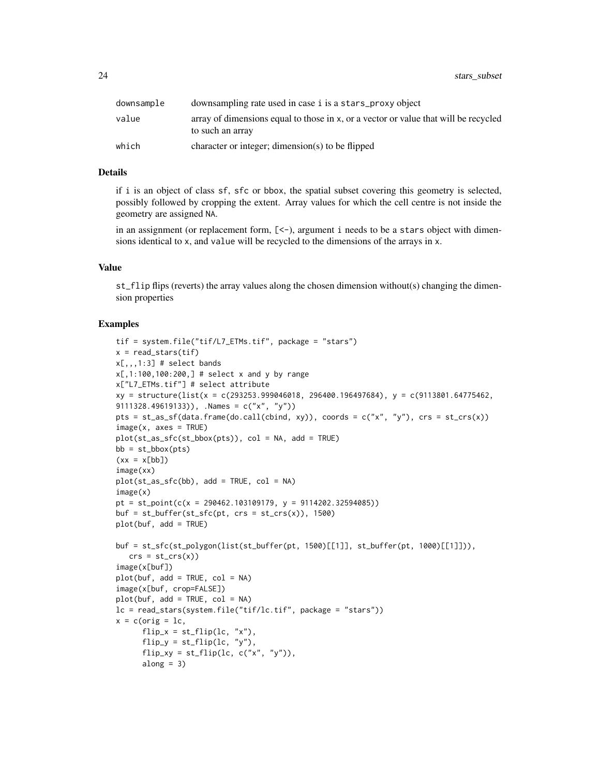24 stars\_subset

| downsample | downsampling rate used in case i is a stars_proxy object                                                   |
|------------|------------------------------------------------------------------------------------------------------------|
| value      | array of dimensions equal to those in $x$ , or a vector or value that will be recycled<br>to such an array |
| which      | character or integer; dimension(s) to be flipped                                                           |

## Details

if i is an object of class sf, sfc or bbox, the spatial subset covering this geometry is selected, possibly followed by cropping the extent. Array values for which the cell centre is not inside the geometry are assigned NA.

in an assignment (or replacement form,  $[\leq$ -), argument i needs to be a stars object with dimensions identical to x, and value will be recycled to the dimensions of the arrays in x.

#### Value

st\_flip flips (reverts) the array values along the chosen dimension without(s) changing the dimension properties

```
tif = system.file("tif/L7_ETMs.tif", package = "stars")
x = read\_stars(tif)x[,,,1:3] # select bands
x[,1:100,100:200,] # select x and y by range
x["L7_ETMs.tif"] # select attribute
xy = structure(list(x = c(293253.999046018, 296400.196497684), y = c(9113801.64775462,
9111328.49619133)), .Names = c("x", "y")pts = st\_as\_sf(data frame(do.call(cbind, xy)), coords = c("x", "y"), crs = st\_crs(x))image(x, axes = TRUE)plot(st_as_sfc(st_bbox(pts)), col = NA, add = TRUE)
bb = st_bbox(pts)(xx = x[bb])image(xx)
plot(st_as_sfc(bb), add = TRUE, col = NA)image(x)
pt = st\_point(c(x = 290462.103109179, y = 9114202.32594085))buf = st_buffer(st_sfc(pt, crs = st_ccrs(x)), 1500)plot(buf, add = TRUE)
buf = st_sfc(st_polygon(list(st_buffer(pt, 1500)[[1]], st_buffer(pt, 1000)[[1]])),
  crs = st_ccrs(x))image(x[buf])
plot(buf, add = TRUE, col = NA)
image(x[buf, crop=FALSE])
plot(buf, add = TRUE, col = NA)lc = read_stars(system.file("tif/lc.tif", package = "stars"))
x = c (orig = 1c,
      flip_x = st_flip(lc, "x"),
      flip_y = st_flip(lc, "y"),
      flip_{xy} = st_{flip}(lc, c("x", "y")),
      along = 3)
```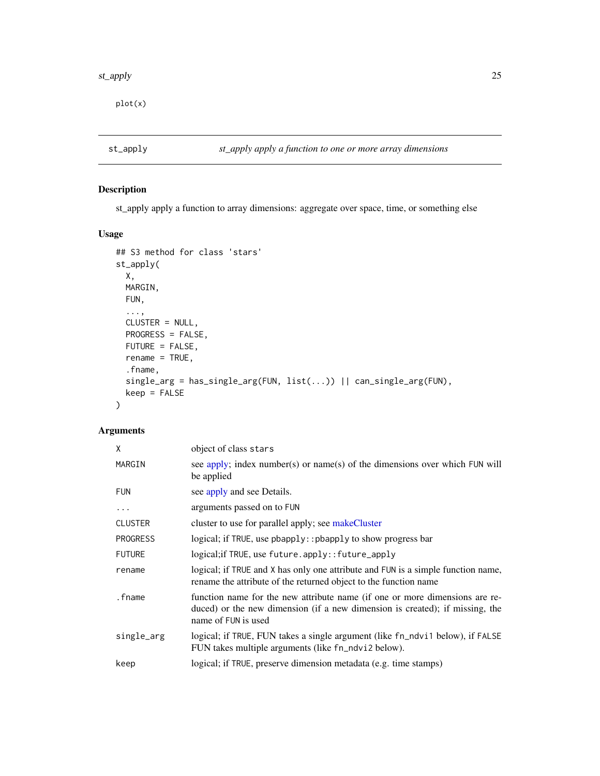#### <span id="page-24-0"></span>st\_apply 25

plot(x)

<span id="page-24-1"></span>

## Description

st\_apply apply a function to array dimensions: aggregate over space, time, or something else

## Usage

```
## S3 method for class 'stars'
st_apply(
 X,
 MARGIN,
 FUN,
  ...,
 CLUSTER = NULL,
 PROGRESS = FALSE,
 FUTURE = FALSE,
 rename = TRUE,
  .fname,
 single_arg = has_single_arg(FUN, list(...)) || can_single_arg(FUN),
 keep = FALSE
\mathcal{L}
```

| X               | object of class stars                                                                                                                                                              |
|-----------------|------------------------------------------------------------------------------------------------------------------------------------------------------------------------------------|
| MARGIN          | see apply; index number(s) or name(s) of the dimensions over which FUN will<br>be applied                                                                                          |
| <b>FUN</b>      | see apply and see Details.                                                                                                                                                         |
| $\ddotsc$       | arguments passed on to FUN                                                                                                                                                         |
| <b>CLUSTER</b>  | cluster to use for parallel apply; see makeCluster                                                                                                                                 |
| <b>PROGRESS</b> | logical; if TRUE, use pbapply:: pbapply to show progress bar                                                                                                                       |
| <b>FUTURE</b>   | logical; if TRUE, use future.apply:: future_apply                                                                                                                                  |
| rename          | logical; if TRUE and X has only one attribute and FUN is a simple function name,<br>rename the attribute of the returned object to the function name                               |
| .fname          | function name for the new attribute name (if one or more dimensions are re-<br>duced) or the new dimension (if a new dimension is created); if missing, the<br>name of FUN is used |
| single_arg      | logical; if TRUE, FUN takes a single argument (like fn_ndvi1 below), if FALSE<br>FUN takes multiple arguments (like fn_ndvi2 below).                                               |
| keep            | logical; if TRUE, preserve dimension metadata (e.g. time stamps)                                                                                                                   |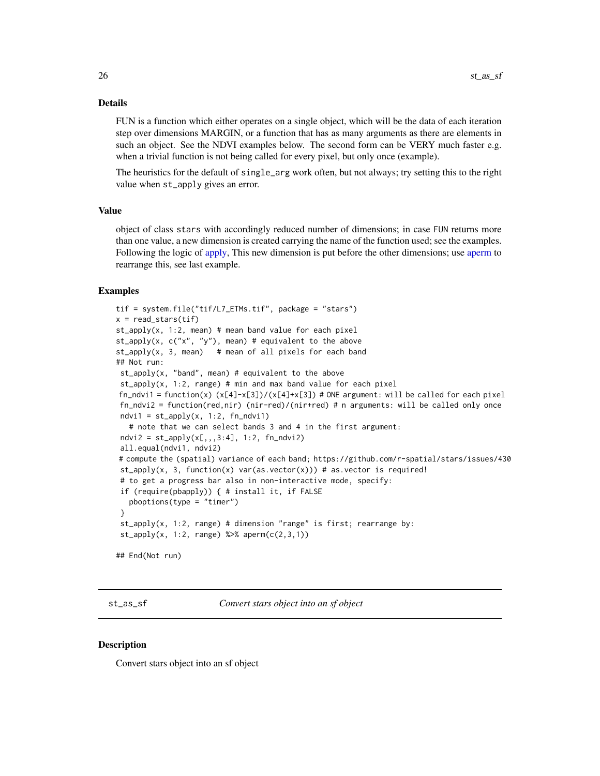#### <span id="page-25-0"></span>Details

FUN is a function which either operates on a single object, which will be the data of each iteration step over dimensions MARGIN, or a function that has as many arguments as there are elements in such an object. See the NDVI examples below. The second form can be VERY much faster e.g. when a trivial function is not being called for every pixel, but only once (example).

The heuristics for the default of single\_arg work often, but not always; try setting this to the right value when st\_apply gives an error.

## Value

object of class stars with accordingly reduced number of dimensions; in case FUN returns more than one value, a new dimension is created carrying the name of the function used; see the examples. Following the logic of [apply,](#page-0-0) This new dimension is put before the other dimensions; use [aperm](#page-0-0) to rearrange this, see last example.

#### Examples

```
tif = system.file("tif/L7_ETMs.tif", package = "stars")
x = read\_stars(tif)st\_apply(x, 1:2, mean) # mean band value for each pixel
st\_apply(x, c("x", "y"), mean) # equivalent to the above
st<sub>-apply</sub>(x, 3, mean) # mean of all pixels for each band
## Not run:
st\_apply(x, "band", mean) # equivalent to the abovest\_apply(x, 1:2, range) # min and max band value for each pixel
fn\_ndvil = function(x) (x[4]-x[3])/(x[4]+x[3]) # ONE argument: will be called for each pixel
fn_ndvi2 = function(red,nir) (nir-red)/(nir+red) # n arguments: will be called only once
 ndvi1 = st_apply(x, 1:2, fn_ndvii)# note that we can select bands 3 and 4 in the first argument:
ndvi2 = st_a pply(x[, 1,3:4], 1:2, fn_ndvi2)all.equal(ndvi1, ndvi2)
# compute the (spatial) variance of each band; https://github.com/r-spatial/stars/issues/430
 st\_apply(x, 3, function(x) var(as.vector(x))) # as.vector is required!
 # to get a progress bar also in non-interactive mode, specify:
 if (require(pbapply)) { # install it, if FALSE
  pboptions(type = "timer")
 }
 st\_apply(x, 1:2, range) # dimension "range" is first; rearrange by:
 st\_apply(x, 1:2, range) %>% aperm(c(2,3,1))## End(Not run)
```
<span id="page-25-1"></span>st\_as\_sf *Convert stars object into an sf object*

## **Description**

Convert stars object into an sf object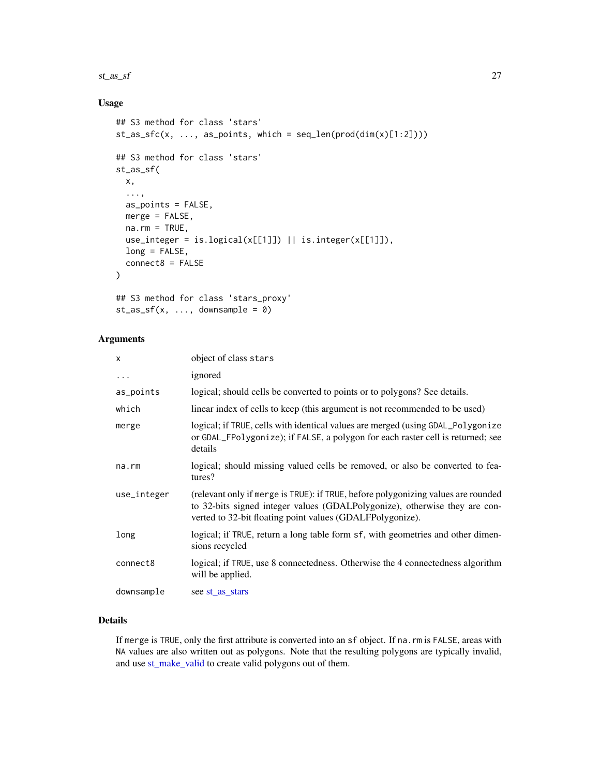#### <span id="page-26-0"></span> $st\_as\_sf$  27

## Usage

```
## S3 method for class 'stars'
st_as_sfc(x, ..., as\_points, which = seq\_len(pred(dim(x)[1:2]))## S3 method for class 'stars'
st_as_sf(
 x,
  ...,
 as_points = FALSE,
 merge = FALSE,
 na.rm = TRUE,use_integer = is.logical(x[[1]]) || is.integer(x[[1]]),
 long = FALSE,
  connect8 = FALSE
\mathcal{L}## S3 method for class 'stars_proxy'
st_as_sf(x, ..., downsample = 0)
```
## Arguments

| X           | object of class stars                                                                                                                                                                                                        |
|-------------|------------------------------------------------------------------------------------------------------------------------------------------------------------------------------------------------------------------------------|
| $\cdots$    | ignored                                                                                                                                                                                                                      |
| as_points   | logical; should cells be converted to points or to polygons? See details.                                                                                                                                                    |
| which       | linear index of cells to keep (this argument is not recommended to be used)                                                                                                                                                  |
| merge       | logical; if TRUE, cells with identical values are merged (using GDAL Polygonize<br>or GDAL_FPolygonize); if FALSE, a polygon for each raster cell is returned; see<br>details                                                |
| $na$ . $rm$ | logical; should missing valued cells be removed, or also be converted to fea-<br>tures?                                                                                                                                      |
| use_integer | (relevant only if merge is TRUE): if TRUE, before polygonizing values are rounded<br>to 32-bits signed integer values (GDALPolygonize), otherwise they are con-<br>verted to 32-bit floating point values (GDALFPolygonize). |
| long        | logical; if TRUE, return a long table form sf, with geometries and other dimen-<br>sions recycled                                                                                                                            |
| connect8    | logical; if TRUE, use 8 connectedness. Otherwise the 4 connectedness algorithm<br>will be applied.                                                                                                                           |
| downsample  | see st_as_stars                                                                                                                                                                                                              |

## Details

If merge is TRUE, only the first attribute is converted into an sf object. If na.rm is FALSE, areas with NA values are also written out as polygons. Note that the resulting polygons are typically invalid, and use [st\\_make\\_valid](#page-0-0) to create valid polygons out of them.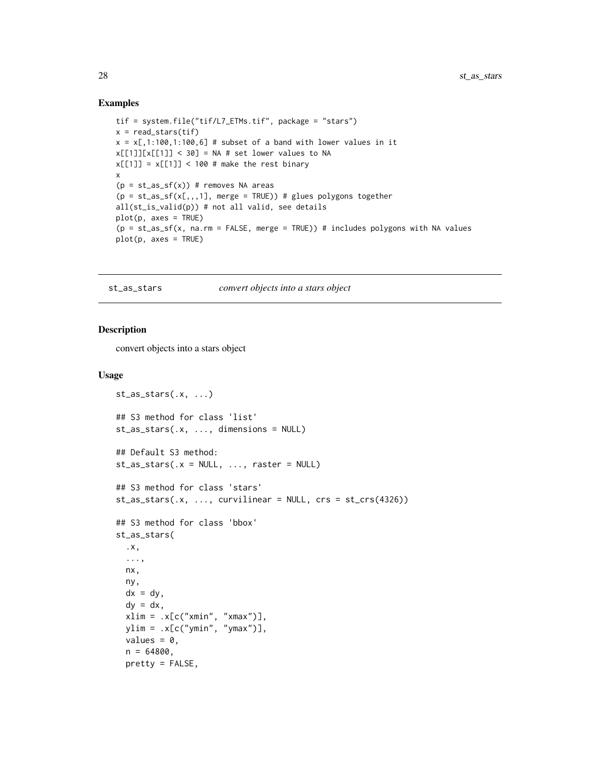#### Examples

```
tif = system.file("tif/L7_ETMs.tif", package = "stars")
x = read\_stars(tif)x = x[, 1:100, 1:100, 6] # subset of a band with lower values in it
x[[1]][x[[1]] < 30] = NA # set lower values to NA
x[[1]] = x[[1]] < 100 # make the rest binary
x
(p = st_as_s f(x)) # removes NA areas
(p = st_as_s f(x[,,,,1], merge = TRUE)) # glues polygons together
all(st_is_valid(p)) # not all valid, see details
plot(p, axes = TRUE)
(p = st_as_sf(x, na.rm = FALSE, merge = TRUE)) # includes polygons with NA values
plot(p, axes = TRUE)
```
<span id="page-27-1"></span>st\_as\_stars *convert objects into a stars object*

#### Description

convert objects into a stars object

#### Usage

```
st_{as\_stars(.x, ...)}## S3 method for class 'list'
st_as_stars(.x, ..., dimensions = NULL)
## Default S3 method:
st\_as\_stars( . x = NULL, . . . , raster = NULL)## S3 method for class 'stars'
st\_as\_stars(.x, ..., curvilinear = NULL, crs = st\_crs(4326))## S3 method for class 'bbox'
st_as_stars(
  .x,
  ...,
 nx,
  ny,
  dx = dy,
  dy = dx.
  xlim = x[c("xmin", "xmax")],ylim = .x[c("ymin", "ymax")],values = 0,
  n = 64800,pretty = FALSE,
```
<span id="page-27-0"></span>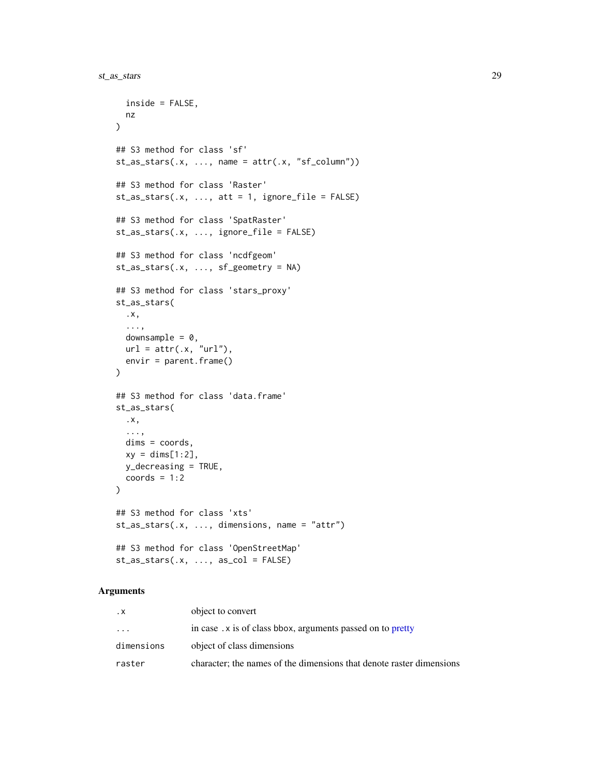```
inside = FALSE,
 nz
\lambda## S3 method for class 'sf'
st\_as\_stars(.x, ..., name = attr(.x, "sf\_column"))## S3 method for class 'Raster'
st\_as\_stars(.x, ..., att = 1, ignore_file = FALSE)## S3 method for class 'SpatRaster'
st_as_stars(.x, ..., ignore_file = FALSE)
## S3 method for class 'ncdfgeom'
st_as_stars(.x, ..., sf_geometry = NA)
## S3 method for class 'stars_proxy'
st_as_stars(
  .x,
  ...,
 downsample = 0,
 url = attr(.x, "url"),envir = parent.frame()
\mathcal{L}## S3 method for class 'data.frame'
st_as_stars(
 .x,
 ...,
 dims = coords,
 xy = \text{dim}[1:2],y_decreasing = TRUE,
  coords = 1:2\lambda## S3 method for class 'xts'
st\_as\_stars(.x, ..., dimension s, name = "attr")## S3 method for class 'OpenStreetMap'
st\_as\_stars(x, ..., as\_col = FALSE)
```

| . X        | object to convert                                                    |
|------------|----------------------------------------------------------------------|
| $\cdot$    | in case. x is of class bbox, arguments passed on to pretty           |
| dimensions | object of class dimensions                                           |
| raster     | character; the names of the dimensions that denote raster dimensions |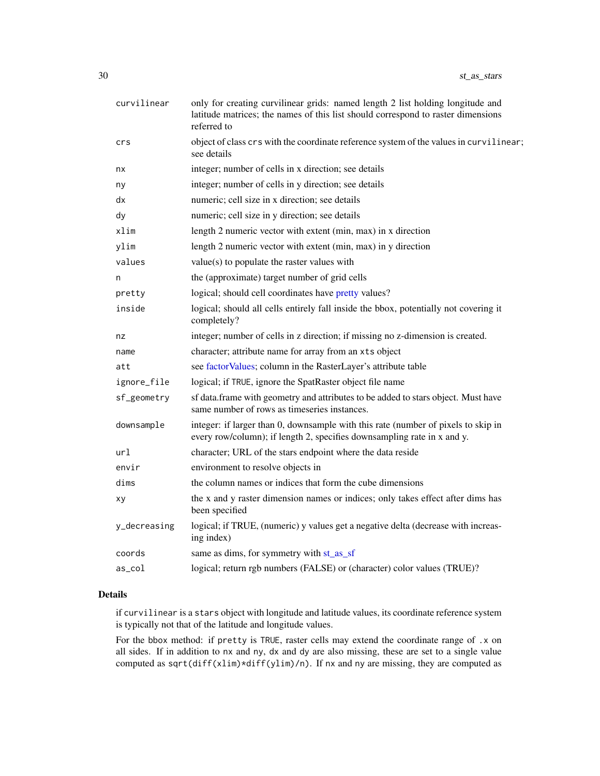<span id="page-29-0"></span>

| curvilinear  | only for creating curvilinear grids: named length 2 list holding longitude and<br>latitude matrices; the names of this list should correspond to raster dimensions<br>referred to |
|--------------|-----------------------------------------------------------------------------------------------------------------------------------------------------------------------------------|
| crs          | object of class crs with the coordinate reference system of the values in curvilinear;<br>see details                                                                             |
| nx           | integer; number of cells in x direction; see details                                                                                                                              |
| ny           | integer; number of cells in y direction; see details                                                                                                                              |
| dx           | numeric; cell size in x direction; see details                                                                                                                                    |
| dy           | numeric; cell size in y direction; see details                                                                                                                                    |
| xlim         | length 2 numeric vector with extent (min, max) in x direction                                                                                                                     |
| ylim         | length 2 numeric vector with extent (min, max) in y direction                                                                                                                     |
| values       | value(s) to populate the raster values with                                                                                                                                       |
| n            | the (approximate) target number of grid cells                                                                                                                                     |
| pretty       | logical; should cell coordinates have pretty values?                                                                                                                              |
| inside       | logical; should all cells entirely fall inside the bbox, potentially not covering it<br>completely?                                                                               |
| nz           | integer; number of cells in z direction; if missing no z-dimension is created.                                                                                                    |
| name         | character; attribute name for array from an xts object                                                                                                                            |
| att          | see factor Values; column in the RasterLayer's attribute table                                                                                                                    |
| ignore_file  | logical; if TRUE, ignore the SpatRaster object file name                                                                                                                          |
| sf_geometry  | sf data.frame with geometry and attributes to be added to stars object. Must have<br>same number of rows as timeseries instances.                                                 |
| downsample   | integer: if larger than 0, downsample with this rate (number of pixels to skip in<br>every row/column); if length 2, specifies downsampling rate in x and y.                      |
| url          | character; URL of the stars endpoint where the data reside                                                                                                                        |
| envir        | environment to resolve objects in                                                                                                                                                 |
| dims         | the column names or indices that form the cube dimensions                                                                                                                         |
| xy           | the x and y raster dimension names or indices; only takes effect after dims has<br>been specified                                                                                 |
| y_decreasing | logical; if TRUE, (numeric) y values get a negative delta (decrease with increas-<br>ing index)                                                                                   |
| coords       | same as dims, for symmetry with st_as_sf                                                                                                                                          |
| as_col       | logical; return rgb numbers (FALSE) or (character) color values (TRUE)?                                                                                                           |
|              |                                                                                                                                                                                   |

#### Details

if curvilinear is a stars object with longitude and latitude values, its coordinate reference system is typically not that of the latitude and longitude values.

For the bbox method: if pretty is TRUE, raster cells may extend the coordinate range of .x on all sides. If in addition to nx and ny, dx and dy are also missing, these are set to a single value computed as sqrt(diff(xlim)\*diff(ylim)/n). If nx and ny are missing, they are computed as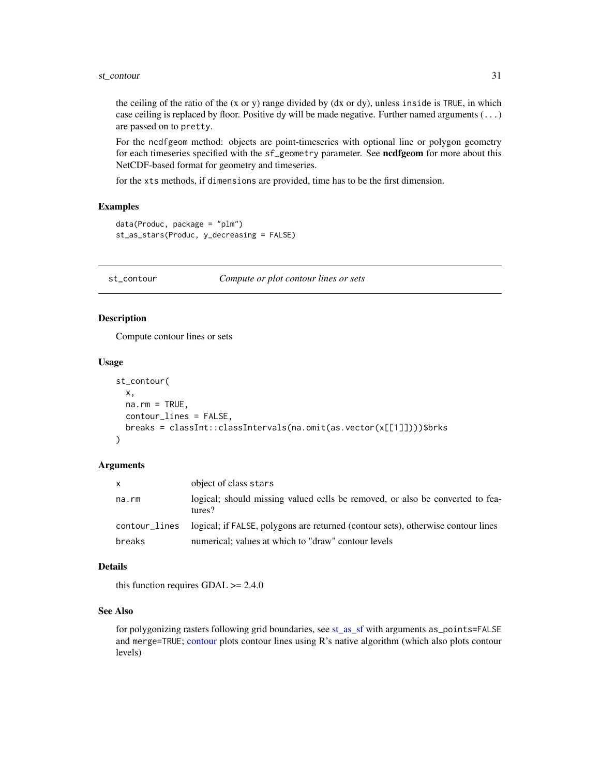<span id="page-30-0"></span>the ceiling of the ratio of the (x or y) range divided by (dx or dy), unless inside is TRUE, in which case ceiling is replaced by floor. Positive dy will be made negative. Further named arguments  $(\ldots)$ are passed on to pretty.

For the ncdfgeom method: objects are point-timeseries with optional line or polygon geometry for each timeseries specified with the sf\_geometry parameter. See ncdfgeom for more about this NetCDF-based format for geometry and timeseries.

for the xts methods, if dimensions are provided, time has to be the first dimension.

#### Examples

```
data(Produc, package = "plm")
st_as_stars(Produc, y_decreasing = FALSE)
```
<span id="page-30-1"></span>st\_contour *Compute or plot contour lines or sets*

## Description

Compute contour lines or sets

#### Usage

```
st_contour(
 x,
 na.rm = TRUE,contour_lines = FALSE,
 breaks = classInt::classIntervals(na.omit(as.vector(x[[1]])))$brks
```
## Arguments

)

| x.            | object of class stars                                                                   |
|---------------|-----------------------------------------------------------------------------------------|
| na.rm         | logical; should missing valued cells be removed, or also be converted to fea-<br>tures? |
| contour_lines | logical; if FALSE, polygons are returned (contour sets), otherwise contour lines        |
| breaks        | numerical; values at which to "draw" contour levels                                     |

## Details

this function requires  $GDAL \ge 2.4.0$ 

#### See Also

for polygonizing rasters following grid boundaries, see [st\\_as\\_sf](#page-25-1) with arguments as\_points=FALSE and merge=TRUE; [contour](#page-0-0) plots contour lines using R's native algorithm (which also plots contour levels)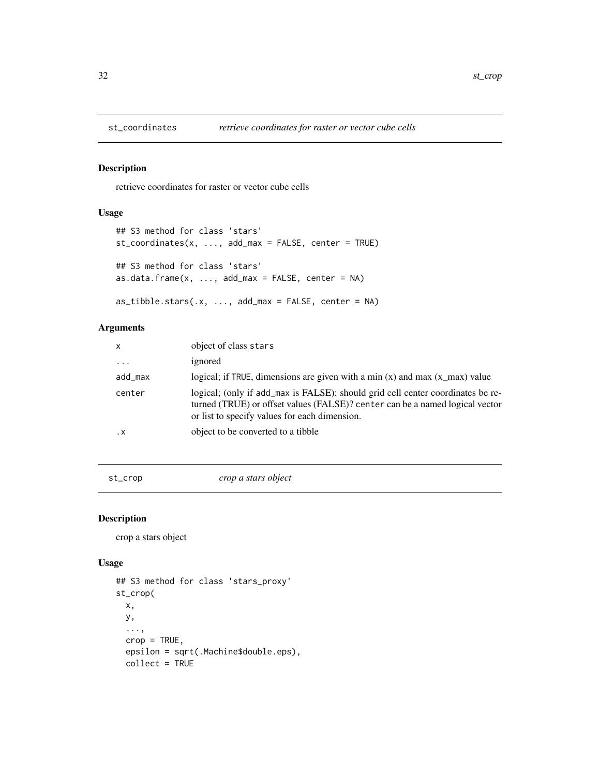<span id="page-31-2"></span><span id="page-31-0"></span>

retrieve coordinates for raster or vector cube cells

## Usage

```
## S3 method for class 'stars'
st_coordinates(x, ..., add_max = FALSE, center = TRUE)
## S3 method for class 'stars'
as.data.frame(x, \ldots, add_max = FALSE, center = NA)
as\_tibble.stars(.x, ..., add\_max = FALSE, center = NA)
```
## Arguments

| $\mathsf{x}$ | object of class stars                                                                                                                                                                                            |
|--------------|------------------------------------------------------------------------------------------------------------------------------------------------------------------------------------------------------------------|
| $\cdots$     | ignored                                                                                                                                                                                                          |
| add_max      | logical; if TRUE, dimensions are given with a min $(x)$ and max $(x_{max})$ value                                                                                                                                |
| center       | logical; (only if add_max is FALSE): should grid cell center coordinates be re-<br>turned (TRUE) or offset values (FALSE)? center can be a named logical vector<br>or list to specify values for each dimension. |
| $\cdot$ X    | object to be converted to a tibble                                                                                                                                                                               |
|              |                                                                                                                                                                                                                  |

<span id="page-31-1"></span>st\_crop *crop a stars object*

#### Description

crop a stars object

## Usage

```
## S3 method for class 'stars_proxy'
st_crop(
 x,
 y,
  ...,
 crop = TRUE,epsilon = sqrt(.Machine$double.eps),
 collect = TRUE
```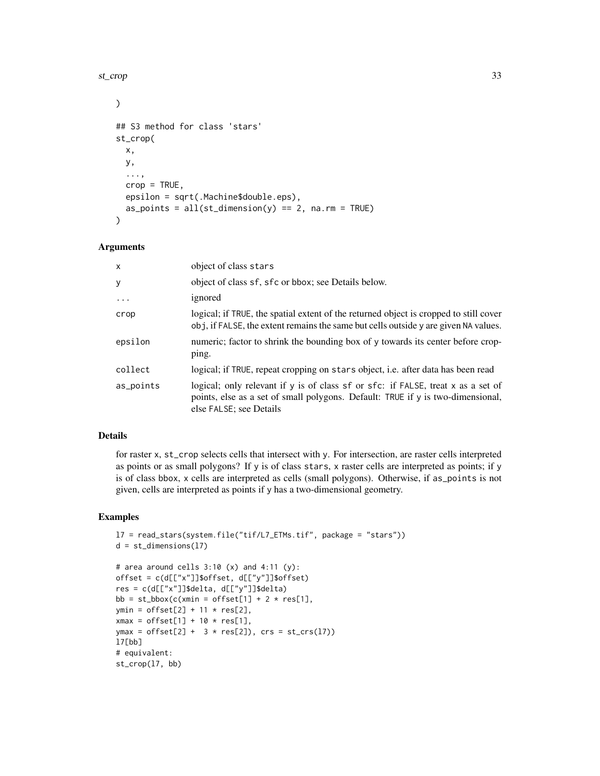#### st\_crop 33

```
\mathcal{L}## S3 method for class 'stars'
st_crop(
  x,
 y,
  ...,
  crop = TRUE,
 epsilon = sqrt(.Machine$double.eps),
  as_points = all(st\_dimension(y) == 2, na.rm = TRUE)\mathcal{L}
```
## Arguments

| $\mathsf{x}$ | object of class stars                                                                                                                                                                          |
|--------------|------------------------------------------------------------------------------------------------------------------------------------------------------------------------------------------------|
| y            | object of class sf, sfc or bbox; see Details below.                                                                                                                                            |
| $\cdots$     | ignored                                                                                                                                                                                        |
| crop         | logical; if TRUE, the spatial extent of the returned object is cropped to still cover<br>obj, if FALSE, the extent remains the same but cells outside y are given NA values.                   |
| epsilon      | numeric; factor to shrink the bounding box of y towards its center before crop-<br>ping.                                                                                                       |
| collect      | logical; if TRUE, repeat cropping on stars object, i.e. after data has been read                                                                                                               |
| as_points    | logical; only relevant if y is of class sf or sfc: if FALSE, treat x as a set of<br>points, else as a set of small polygons. Default: TRUE if y is two-dimensional,<br>else FALSE; see Details |

## Details

for raster x, st\_crop selects cells that intersect with y. For intersection, are raster cells interpreted as points or as small polygons? If y is of class stars, x raster cells are interpreted as points; if y is of class bbox, x cells are interpreted as cells (small polygons). Otherwise, if as\_points is not given, cells are interpreted as points if y has a two-dimensional geometry.

```
l7 = read_stars(system.file("tif/L7_ETMs.tif", package = "stars"))
d = st\_dimensions(17)# area around cells 3:10 (x) and 4:11 (y):
offset = c(d[["x"]]$offset, d[["y"]]$offset)
res = c(d[["x"]]$delta, d[["y"]]$delta)
bb = st_bbox(c(xmin = offset[1] + 2 \star res[1],
ymin = \text{offset}[2] + 11 * \text{res}[2],xmax = \text{offset}[1] + 10 * \text{res}[1],ymax = offset[2] + 3 * res[2]), crs = st_crs(17))
l7[bb]
# equivalent:
st_crop(l7, bb)
```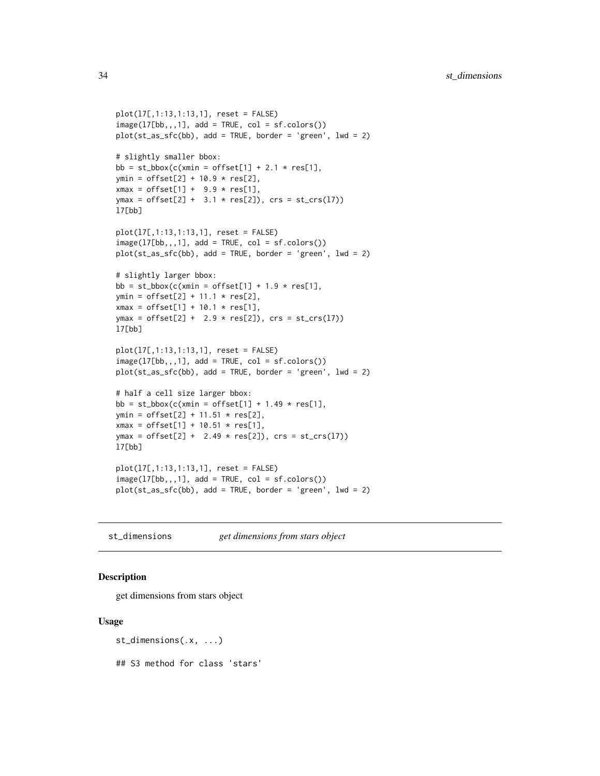```
plot(l7[,1:13,1:13,1], reset = FALSE)
image(17[bb, 1], add = TRUE, col = sf.close())plot(st_as_sfc(bb), add = TRUE, border = 'green', lwd = 2)# slightly smaller bbox:
bb = st_bbox(c(xmin = offset[1] + 2.1 * res[1],
ymin = \text{offset}[2] + 10.9 * \text{res}[2],xmax = offset[1] + 9.9 * res[1],
ymax = \text{offset}[2] + 3.1 * \text{res}[2]), crs = st_ccrs(17))l7[bb]
plot(l7[,1:13,1:13,1], reset = FALSE)
image(17[bb, 1], add = TRUE, col = sf.close())plot(st_as_sfc(bb), add = TRUE, border = 'green', lwd = 2)# slightly larger bbox:
bb = st_bbox(c(xmin = offset[1] + 1.9 * res[1],
ymin = offset[2] + 11.1 * res[2],xmax = offset[1] + 10.1 * res[1],
ymax = \text{offset}[2] + 2.9 * \text{res}[2]), crs = st_ccrs(17))l7[bb]
plot(l7[,1:13,1:13,1], reset = FALSE)
image(17[bb,,,1], add = TRUE, col = sfs(17[bb,+,1])plot(st_as_sfc(bb), add = TRUE, border = 'green', lwd = 2)# half a cell size larger bbox:
bb = st_bbox(c(xmin = offset[1] + 1.49 \times res[1],
ymin = offset[2] + 11.51 * res[2],
xmax = offset[1] + 10.51 * res[1],
ymax = offset[2] + 2.49 * res[2]), crs = st_ccrs(17))
l7[bb]
plot(l7[,1:13,1:13,1], reset = FALSE)
image(17[bb, 1], add = TRUE, col = sf.close())plot(st_as_sfc(bb), add = TRUE, border = 'green', lwd = 2)
```
st\_dimensions *get dimensions from stars object*

#### Description

get dimensions from stars object

#### Usage

```
st_dimensions(.x, ...)
```
## S3 method for class 'stars'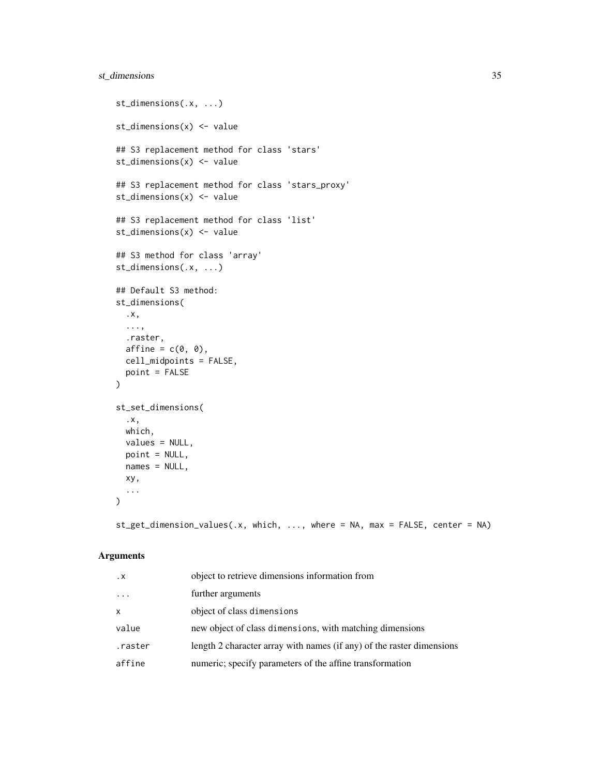## st\_dimensions 35

```
st_dimensions(.x, ...)
st_dimensions(x) <- value
## S3 replacement method for class 'stars'
st_dimensions(x) <- value
## S3 replacement method for class 'stars_proxy'
st_dimensions(x) <- value
## S3 replacement method for class 'list'
st_dimensions(x) <- value
## S3 method for class 'array'
st_dimensions(.x, ...)
## Default S3 method:
st_dimensions(
 .x,
 ...,
 .raster,
 affine = c(0, 0),cell_midpoints = FALSE,
 point = FALSE
)
st_set_dimensions(
  .x,
 which,
 values = NULL,
 point = NULL,names = NULL,
 xy,
  ...
\mathcal{L}
```
st\_get\_dimension\_values(.x, which, ..., where = NA, max = FALSE, center = NA)

| $\cdot$ X | object to retrieve dimensions information from                        |
|-----------|-----------------------------------------------------------------------|
| $\cdots$  | further arguments                                                     |
| x         | object of class dimensions                                            |
| value     | new object of class dimensions, with matching dimensions              |
| .raster   | length 2 character array with names (if any) of the raster dimensions |
| affine    | numeric; specify parameters of the affine transformation              |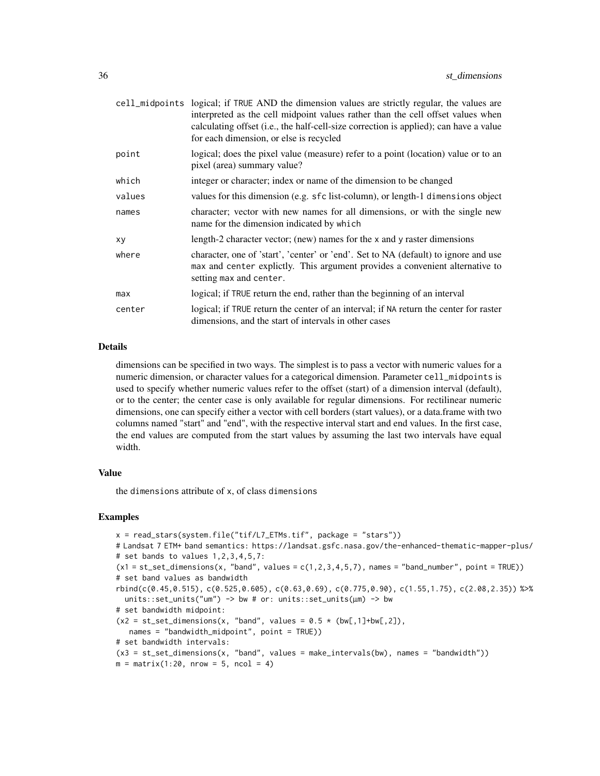|        | cell_midpoints logical; if TRUE AND the dimension values are strictly regular, the values are<br>interpreted as the cell midpoint values rather than the cell offset values when<br>calculating offset (i.e., the half-cell-size correction is applied); can have a value<br>for each dimension, or else is recycled |
|--------|----------------------------------------------------------------------------------------------------------------------------------------------------------------------------------------------------------------------------------------------------------------------------------------------------------------------|
| point  | logical; does the pixel value (measure) refer to a point (location) value or to an<br>pixel (area) summary value?                                                                                                                                                                                                    |
| which  | integer or character; index or name of the dimension to be changed                                                                                                                                                                                                                                                   |
| values | values for this dimension (e.g. sfc list-column), or length-1 dimensions object                                                                                                                                                                                                                                      |
| names  | character; vector with new names for all dimensions, or with the single new<br>name for the dimension indicated by which                                                                                                                                                                                             |
| xy     | length-2 character vector; (new) names for the x and y raster dimensions                                                                                                                                                                                                                                             |
| where  | character, one of 'start', 'center' or 'end'. Set to NA (default) to ignore and use<br>max and center explictly. This argument provides a convenient alternative to<br>setting max and center.                                                                                                                       |
| max    | logical; if TRUE return the end, rather than the beginning of an interval                                                                                                                                                                                                                                            |
| center | logical; if TRUE return the center of an interval; if NA return the center for raster<br>dimensions, and the start of intervals in other cases                                                                                                                                                                       |

#### Details

dimensions can be specified in two ways. The simplest is to pass a vector with numeric values for a numeric dimension, or character values for a categorical dimension. Parameter cell\_midpoints is used to specify whether numeric values refer to the offset (start) of a dimension interval (default), or to the center; the center case is only available for regular dimensions. For rectilinear numeric dimensions, one can specify either a vector with cell borders (start values), or a data.frame with two columns named "start" and "end", with the respective interval start and end values. In the first case, the end values are computed from the start values by assuming the last two intervals have equal width.

#### Value

the dimensions attribute of x, of class dimensions

```
x = read\_stars(system.file("tif/L7\_ETMs.tif", package = "stars"))# Landsat 7 ETM+ band semantics: https://landsat.gsfc.nasa.gov/the-enhanced-thematic-mapper-plus/
# set bands to values 1, 2, 3, 4, 5, 7:
(x1 = st_set_dimensions(x, "band", values = c(1, 2, 3, 4, 5, 7), names = "band_number", point = TRUE)# set band values as bandwidth
rbind(c(0.45,0.515), c(0.525,0.605), c(0.63,0.69), c(0.775,0.90), c(1.55,1.75), c(2.08,2.35)) %>%
 units::set_units("um") \rightarrow bw # or: units::set_units(\mum) \rightarrow bw
# set bandwidth midpoint:
(x2 = st_set_dimensions(x, "band", values = 0.5 * (bw[,1]+bw[,2]),names = "bandwidth_midpoint", point = TRUE))
# set bandwidth intervals:
(x3 = st_set_dimensions(x, "band", values = make_interestals(bw), names = "bandwidth"))m = matrix(1:20, nrow = 5, ncol = 4)
```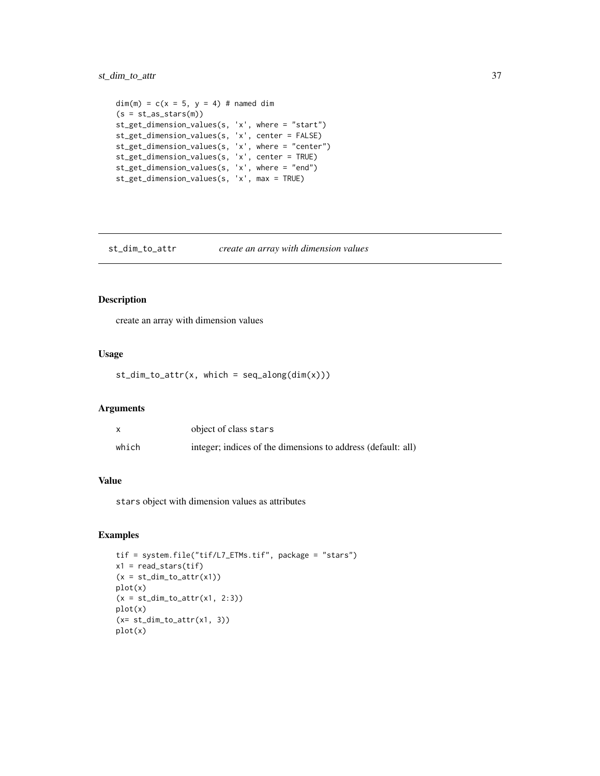## <span id="page-36-0"></span>st\_dim\_to\_attr 37

```
dim(m) = c(x = 5, y = 4) # named dim
(s = st_as\_stars(m))st_get_dimension_values(s, 'x', where = "start")
st_get_dimension_values(s, 'x', center = FALSE)
st_get_dimension_values(s, 'x', where = "center")
st_get_dimension_values(s, 'x', center = TRUE)
st_get_dimension_values(s, 'x', where = "end")
st_get_dimension_values(s, 'x', max = TRUE)
```
st\_dim\_to\_attr *create an array with dimension values*

## Description

create an array with dimension values

#### Usage

 $st\_dim\_to\_attr(x, which = seq\_along(dim(x)))$ 

#### Arguments

|       | object of class stars                                        |
|-------|--------------------------------------------------------------|
| which | integer; indices of the dimensions to address (default: all) |

## Value

stars object with dimension values as attributes

```
tif = system.file("tif/L7_ETMs.tif", package = "stars")
x1 = read\_stars(tif)(x = st\_dim\_to\_attr(x1))plot(x)
(x = st\_dim\_to\_attr(x1, 2:3))plot(x)
(x= st\_dim\_to\_attr(x1, 3))plot(x)
```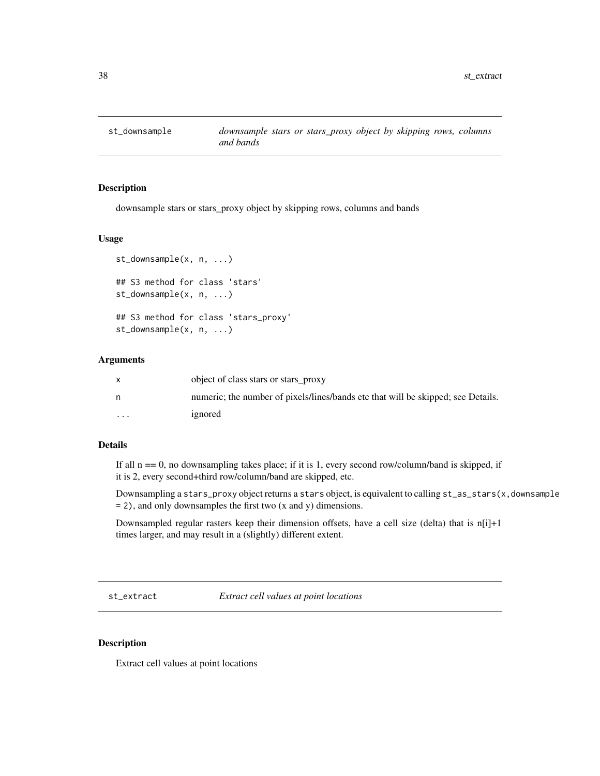<span id="page-37-0"></span>

downsample stars or stars\_proxy object by skipping rows, columns and bands

## Usage

```
st_downsample(x, n, ...)
## S3 method for class 'stars'
st_downsample(x, n, ...)
## S3 method for class 'stars_proxy'
st_downsample(x, n, ...)
```
#### Arguments

|                         | object of class stars or stars_proxy                                             |
|-------------------------|----------------------------------------------------------------------------------|
|                         | numeric; the number of pixels/lines/bands etc that will be skipped; see Details. |
| $\cdot$ $\cdot$ $\cdot$ | ignored                                                                          |

#### Details

If all  $n = 0$ , no downsampling takes place; if it is 1, every second row/column/band is skipped, if it is 2, every second+third row/column/band are skipped, etc.

Downsampling a stars\_proxy object returns a stars object, is equivalent to calling st\_as\_stars(x,downsample = 2), and only downsamples the first two (x and y) dimensions.

Downsampled regular rasters keep their dimension offsets, have a cell size (delta) that is  $n[i]+1$ times larger, and may result in a (slightly) different extent.

st\_extract *Extract cell values at point locations*

#### Description

Extract cell values at point locations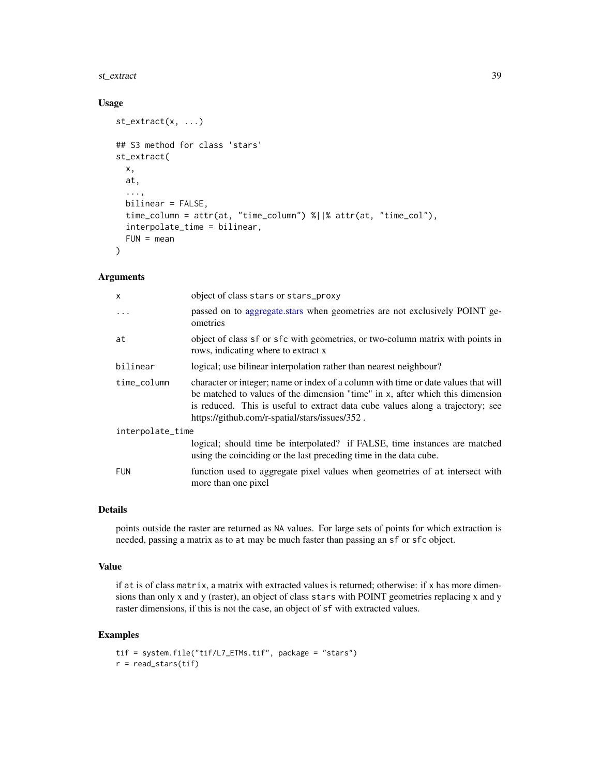#### <span id="page-38-0"></span>st\_extract 39

## Usage

```
st_extract(x, ...)
## S3 method for class 'stars'
st_extract(
 x,
 at,
  ...,
 bilinear = FALSE,
  time_column = attr(at, "time_column") %||% attr(at, "time_col"),
  interpolate_time = bilinear,
  FUN = mean\lambda
```
#### Arguments

| $\mathsf{x}$     | object of class stars or stars_proxy                                                                                                                                                                                                                                                                    |  |
|------------------|---------------------------------------------------------------------------------------------------------------------------------------------------------------------------------------------------------------------------------------------------------------------------------------------------------|--|
| $\ddots$ .       | passed on to aggregate.stars when geometries are not exclusively POINT ge-<br>ometries                                                                                                                                                                                                                  |  |
| at               | object of class sf or sfc with geometries, or two-column matrix with points in<br>rows, indicating where to extract x                                                                                                                                                                                   |  |
| bilinear         | logical; use bilinear interpolation rather than nearest neighbour?                                                                                                                                                                                                                                      |  |
| time_column      | character or integer; name or index of a column with time or date values that will<br>be matched to values of the dimension "time" in x, after which this dimension<br>is reduced. This is useful to extract data cube values along a trajectory; see<br>https://github.com/r-spatial/stars/issues/352. |  |
| interpolate_time |                                                                                                                                                                                                                                                                                                         |  |
|                  | logical; should time be interpolated? if FALSE, time instances are matched<br>using the coinciding or the last preceding time in the data cube.                                                                                                                                                         |  |
| <b>FUN</b>       | function used to aggregate pixel values when geometries of at intersect with<br>more than one pixel                                                                                                                                                                                                     |  |

#### Details

points outside the raster are returned as NA values. For large sets of points for which extraction is needed, passing a matrix as to at may be much faster than passing an sf or sfc object.

#### Value

if at is of class matrix, a matrix with extracted values is returned; otherwise: if x has more dimensions than only x and y (raster), an object of class stars with POINT geometries replacing x and y raster dimensions, if this is not the case, an object of sf with extracted values.

```
tif = system.file("tif/L7_ETMs.tif", package = "stars")
r = read\_stars(tif)
```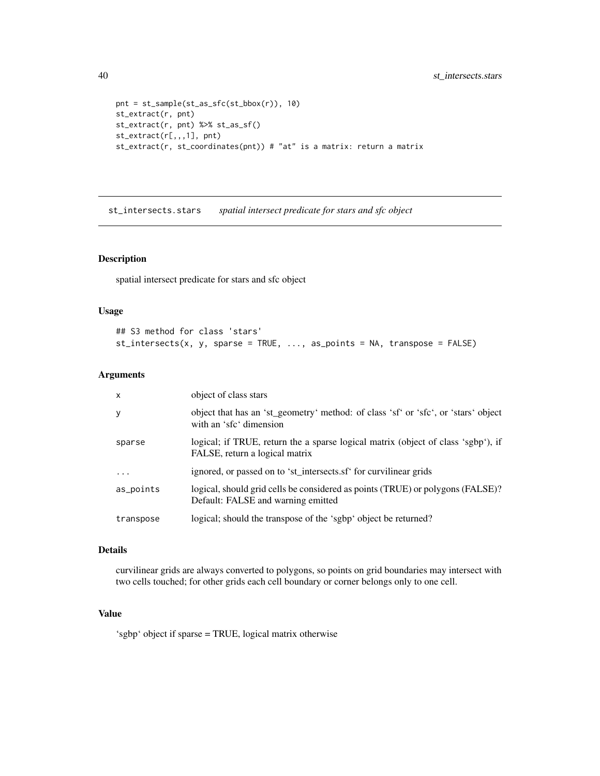```
pnt = st_sample(st_as_sfc(st_bbox(r)), 10)
st_extract(r, pnt)
st_extract(r, pnt) %>% st_as_sf()
st_extract(r[,,,1], pnt)
st_extract(r, st_coordinates(pnt)) # "at" is a matrix: return a matrix
```
<span id="page-39-1"></span>st\_intersects.stars *spatial intersect predicate for stars and sfc object*

## Description

spatial intersect predicate for stars and sfc object

## Usage

```
## S3 method for class 'stars'
st_intersects(x, y, sparse = TRUE, ..., as_points = NA, transpose = FALSE)
```
#### Arguments

| $\times$  | object of class stars                                                                                                |
|-----------|----------------------------------------------------------------------------------------------------------------------|
| у         | object that has an 'st_geometry' method: of class 'sf' or 'sfc', or 'stars' object<br>with an 'sfc' dimension        |
| sparse    | logical; if TRUE, return the a sparse logical matrix (object of class 'sgbp'), if<br>FALSE, return a logical matrix  |
| .         | ignored, or passed on to 'st_intersects.sf' for curvilinear grids                                                    |
| as_points | logical, should grid cells be considered as points (TRUE) or polygons (FALSE)?<br>Default: FALSE and warning emitted |
| transpose | logical; should the transpose of the 'sgbp' object be returned?                                                      |

## Details

curvilinear grids are always converted to polygons, so points on grid boundaries may intersect with two cells touched; for other grids each cell boundary or corner belongs only to one cell.

## Value

'sgbp' object if sparse = TRUE, logical matrix otherwise

<span id="page-39-0"></span>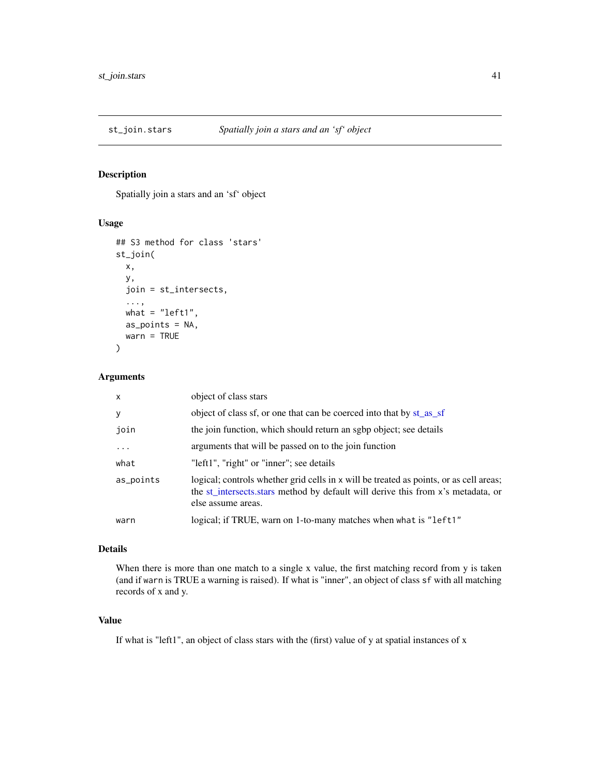<span id="page-40-0"></span>

Spatially join a stars and an 'sf' object

## Usage

```
## S3 method for class 'stars'
st_join(
 x,
 y,
  join = st_intersects,
  ...,
 what = "left1as_points = NA,
 warn = TRUE
)
```
## Arguments

| $\times$  | object of class stars                                                                                                                                                                            |
|-----------|--------------------------------------------------------------------------------------------------------------------------------------------------------------------------------------------------|
| У         | object of class sf, or one that can be coerced into that by st_as_sf                                                                                                                             |
| join      | the join function, which should return an sgbp object; see details                                                                                                                               |
| $\cdots$  | arguments that will be passed on to the join function                                                                                                                                            |
| what      | "left1", "right" or "inner"; see details                                                                                                                                                         |
| as_points | logical; controls whether grid cells in x will be treated as points, or as cell areas;<br>the st_intersects.stars method by default will derive this from x's metadata, or<br>else assume areas. |
| warn      | logical; if TRUE, warn on 1-to-many matches when what is "left1"                                                                                                                                 |

#### Details

When there is more than one match to a single x value, the first matching record from y is taken (and if warn is TRUE a warning is raised). If what is "inner", an object of class sf with all matching records of x and y.

## Value

If what is "left1", an object of class stars with the (first) value of y at spatial instances of x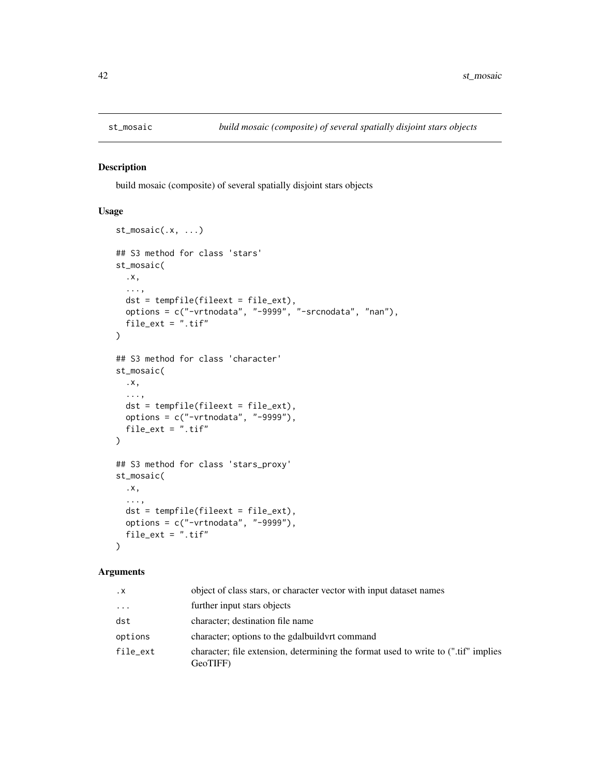<span id="page-41-0"></span>

build mosaic (composite) of several spatially disjoint stars objects

## Usage

```
st_mosaic(.x, ...)
## S3 method for class 'stars'
st_mosaic(
  .x,
  ...,
 dst = tempfile(fileext = file_ext),
 options = c("-vrtnodata", "-9999", "-srcnodata", "nan"),
  file\_ext = ".tf")
## S3 method for class 'character'
st_mosaic(
  .x,
  ...,
 dst = tempfile(fileext = file_ext),
 options = c("-\varepsilon vrtnodata", "-9999"),
  file_ext = ".\text{tif}"
)
## S3 method for class 'stars_proxy'
st_mosaic(
  .x,
  ...,
 dst = tempfile(fileext = file_ext),
 options = c("-vrtnodata", "-9999"),
 file_ext = ".tif"
\lambda
```

| $\cdot$ X | object of class stars, or character vector with input dataset names                            |
|-----------|------------------------------------------------------------------------------------------------|
| .         | further input stars objects                                                                    |
| dst       | character; destination file name                                                               |
| options   | character; options to the gdalbuild vert command                                               |
| file_ext  | character; file extension, determining the format used to write to (".tif" implies<br>GeoTIFF) |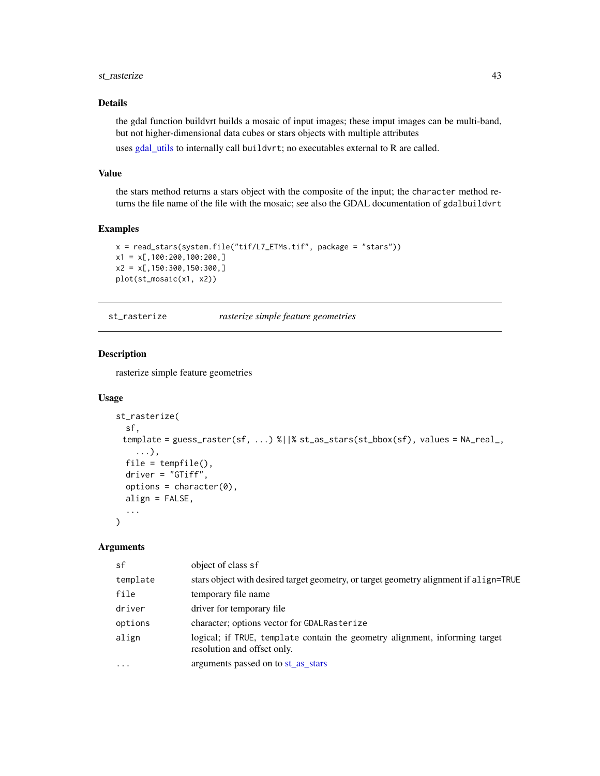## <span id="page-42-0"></span>st\_rasterize 43

## Details

the gdal function buildvrt builds a mosaic of input images; these imput images can be multi-band, but not higher-dimensional data cubes or stars objects with multiple attributes

uses [gdal\\_utils](#page-0-0) to internally call buildvrt; no executables external to R are called.

## Value

the stars method returns a stars object with the composite of the input; the character method returns the file name of the file with the mosaic; see also the GDAL documentation of gdalbuildvrt

#### Examples

```
x = read_stars(system.file("tif/L7_ETMs.tif", package = "stars"))
x1 = x[,100:200,100:200,]
x2 = x[,150:300,150:300,]
plot(st_mosaic(x1, x2))
```
st\_rasterize *rasterize simple feature geometries*

#### Description

rasterize simple feature geometries

#### Usage

```
st_rasterize(
  sf,
 template = guess_raster(sf, ...) %||% st_as_stars(st_bbox(sf), values = NA_real_,
    ...),
 file = tempfile(),
 driver = "GTiff",
 options = character(0),
 align = FALSE,
  ...
)
```

| sf        | object of class sf                                                                                         |
|-----------|------------------------------------------------------------------------------------------------------------|
| template  | stars object with desired target geometry, or target geometry alignment if all gn=TRUE                     |
| file      | temporary file name                                                                                        |
| driver    | driver for temporary file.                                                                                 |
| options   | character; options vector for GDALRasterize                                                                |
| align     | logical; if TRUE, template contain the geometry alignment, informing target<br>resolution and offset only. |
| $\ddotsc$ | arguments passed on to st_as_stars                                                                         |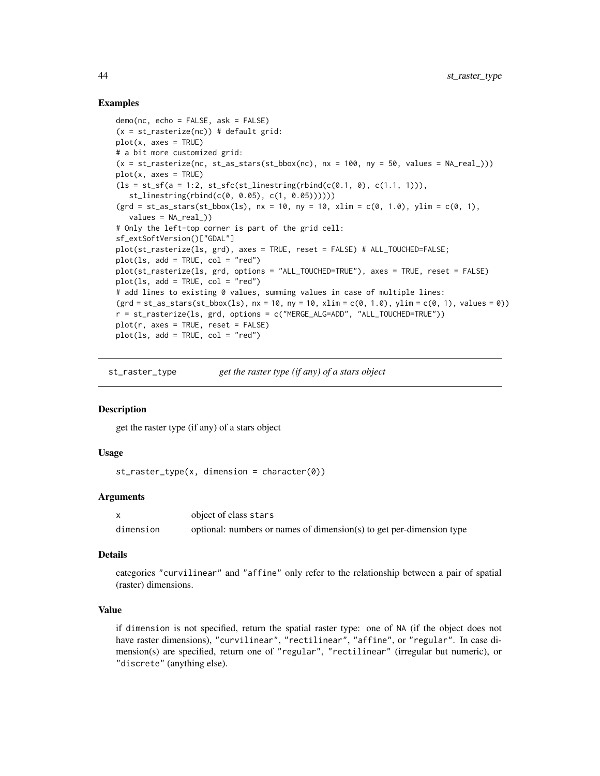#### Examples

```
demo(nc, echo = FALSE, ask = FALSE)
(x = st\_rasterize(nc)) # default grid:
plot(x, axes = TRUE)# a bit more customized grid:
(x = st_{\text{r}} \cdot \text{r} = \text{r} = \text{r} = \text{r} = \text{r} = \text{r} = \text{r} = \text{r} = \text{r} = \text{r} = \text{r} = \text{r} = \text{r} = \text{r} = \text{r} = \text{r} = \text{r} = \text{r} = \text{r} = \text{r} = \text{r} = \text{r} = \text{r} = \text{r} = \text{r} = \text{r} = \text{r} = \text{r} = \text{r} = \text{r} = \text{r} = \text{r} = \text{r} = \text{r} = \text{r}plot(x, axes = TRUE)
(ls = st_s f(a = 1:2, st_s f(c(st_linesuring(rbind(c(0.1, 0), c(1.1, 1))),st_linestring(rbind(c(0, 0.05), c(1, 0.05))))))
(\text{grd} = \text{st} \_ \text{as} \_ \text{stars}(\text{st} \_ \text{bbox}(1s), \_ \text{nx} = 10, \_ \text{ny} = 10, \_ \text{xlim} = c(0, 1.0), \_ \text{plim} = c(0, 1),values = NA\_real_)
# Only the left-top corner is part of the grid cell:
sf_extSoftVersion()["GDAL"]
plot(st_rasterize(ls, grd), axes = TRUE, reset = FALSE) # ALL_TOUCHED=FALSE;
plot(ls, add = TRUE, col = "red")plot(st_rasterize(ls, grd, options = "ALL_TOUCHED=TRUE"), axes = TRUE, reset = FALSE)
plot(ls, add = TRUE, col = "red")# add lines to existing 0 values, summing values in case of multiple lines:
(\text{grd} = \text{st} _{\text{a}} \text{stars}(\text{st} _{\text{b}} \text{box}(1\text{s}), \text{nx} = 10, \text{ny} = 10, \text{ xlim} = c(0, 1.0), \text{ ylim} = c(0, 1), \text{ values} = 0))r = st_rasterize(ls, grd, options = c("MERGE_ALG=ADD", "ALL_TOUCHED=TRUE"))
plot(r, axes = TRUE, reset = FALSE)plot(ls, add = TRUE, col = "red")
```
st\_raster\_type *get the raster type (if any) of a stars object*

## **Description**

get the raster type (if any) of a stars object

#### Usage

```
st_raster_type(x, dimension = character(0))
```
#### Arguments

|           | object of class stars                                                |
|-----------|----------------------------------------------------------------------|
| dimension | optional: numbers or names of dimension(s) to get per-dimension type |

## Details

categories "curvilinear" and "affine" only refer to the relationship between a pair of spatial (raster) dimensions.

#### Value

if dimension is not specified, return the spatial raster type: one of NA (if the object does not have raster dimensions), "curvilinear", "rectilinear", "affine", or "regular". In case dimension(s) are specified, return one of "regular", "rectilinear" (irregular but numeric), or "discrete" (anything else).

<span id="page-43-0"></span>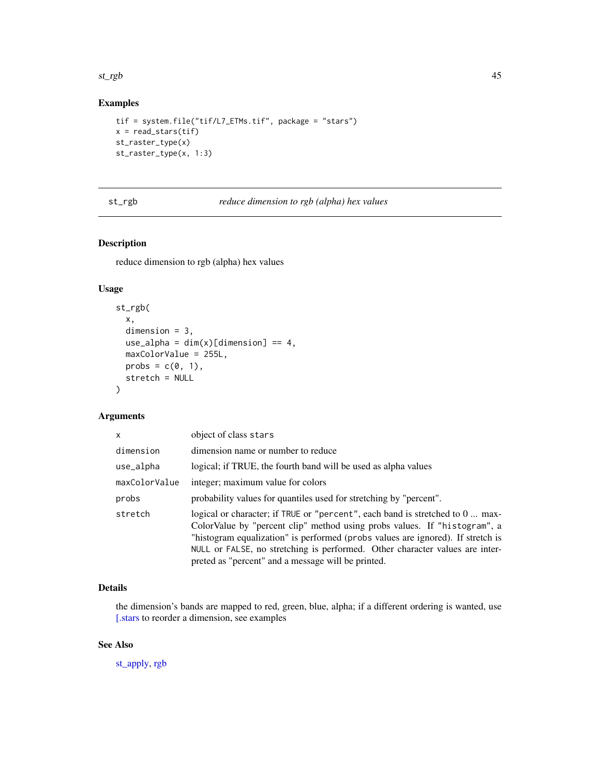<span id="page-44-0"></span>st\_rgb 45

## Examples

```
tif = system.file("tif/L7_ETMs.tif", package = "stars")
x = read\_stars(tif)st_raster_type(x)
st_raster_type(x, 1:3)
```
#### st\_rgb *reduce dimension to rgb (alpha) hex values*

## Description

reduce dimension to rgb (alpha) hex values

## Usage

```
st_rgb(
 x,
  dimension = 3,
 use_alpha = dim(x)[dimension] == 4,
 maxColorValue = 255L,
 probs = c(\emptyset, 1),
  stretch = NULL
)
```
## Arguments

| x             | object of class stars                                                                                                                                                                                                                                                                                                                                                               |
|---------------|-------------------------------------------------------------------------------------------------------------------------------------------------------------------------------------------------------------------------------------------------------------------------------------------------------------------------------------------------------------------------------------|
| dimension     | dimension name or number to reduce                                                                                                                                                                                                                                                                                                                                                  |
| use_alpha     | logical; if TRUE, the fourth band will be used as alpha values                                                                                                                                                                                                                                                                                                                      |
| maxColorValue | integer; maximum value for colors                                                                                                                                                                                                                                                                                                                                                   |
| probs         | probability values for quantiles used for stretching by "percent".                                                                                                                                                                                                                                                                                                                  |
| stretch       | logical or character; if TRUE or "percent", each band is stretched to 0  max-<br>ColorValue by "percent clip" method using probs values. If "histogram", a<br>"histogram equalization" is performed (probs values are ignored). If stretch is<br>NULL or FALSE, no stretching is performed. Other character values are inter-<br>preted as "percent" and a message will be printed. |

## Details

the dimension's bands are mapped to red, green, blue, alpha; if a different ordering is wanted, use [\[.stars](#page-22-1) to reorder a dimension, see examples

## See Also

[st\\_apply,](#page-24-1) [rgb](#page-0-0)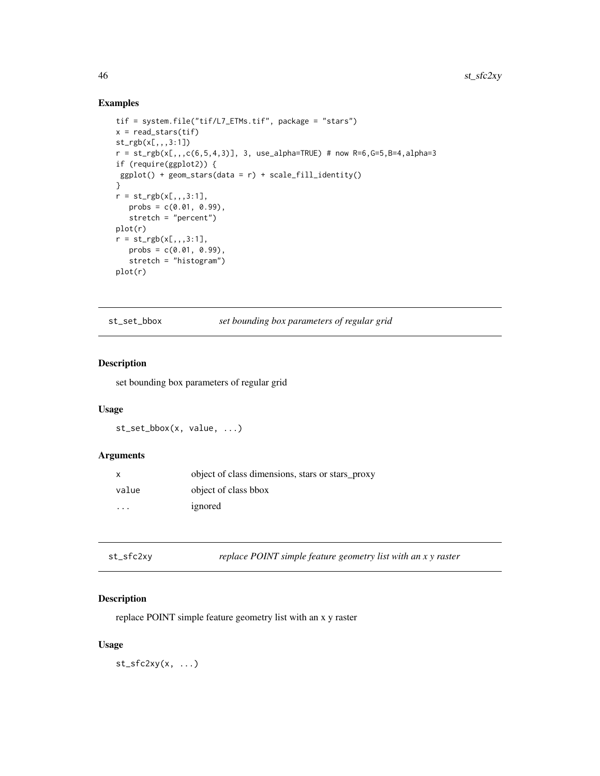## Examples

```
tif = system.file("tif/L7_ETMs.tif", package = "stars")
x = read\_stars(tif)st_rgb(x[,,,3:1])
r = st\_rgb(x[,.,c(6,5,4,3)], 3, use\_alpha=TRUE) # now R=6, G=5, B=4, alpha=3if (require(ggplot2)) {
ggplot() + geom\_stars(data = r) + scale_fill_identity()}
r = st_{rgb}(x[,,,,3:1],probs = c(0.01, 0.99),
   stretch = "percent")
plot(r)
r = st_{rgb}(x[, 1, 3:1],probs = c(0.01, 0.99),
   stretch = "histogram")
plot(r)
```
st\_set\_bbox *set bounding box parameters of regular grid*

## Description

set bounding box parameters of regular grid

## Usage

st\_set\_bbox(x, value, ...)

#### Arguments

| $\mathsf{x}$            | object of class dimensions, stars or stars_proxy |
|-------------------------|--------------------------------------------------|
| value                   | object of class bbox                             |
| $\cdot$ $\cdot$ $\cdot$ | ignored                                          |

| st_sfc2xy | replace POINT simple feature geometry list with an x y raster |
|-----------|---------------------------------------------------------------|
|-----------|---------------------------------------------------------------|

## Description

replace POINT simple feature geometry list with an x y raster

## Usage

 $st_sfc2xy(x, \ldots)$ 

<span id="page-45-0"></span>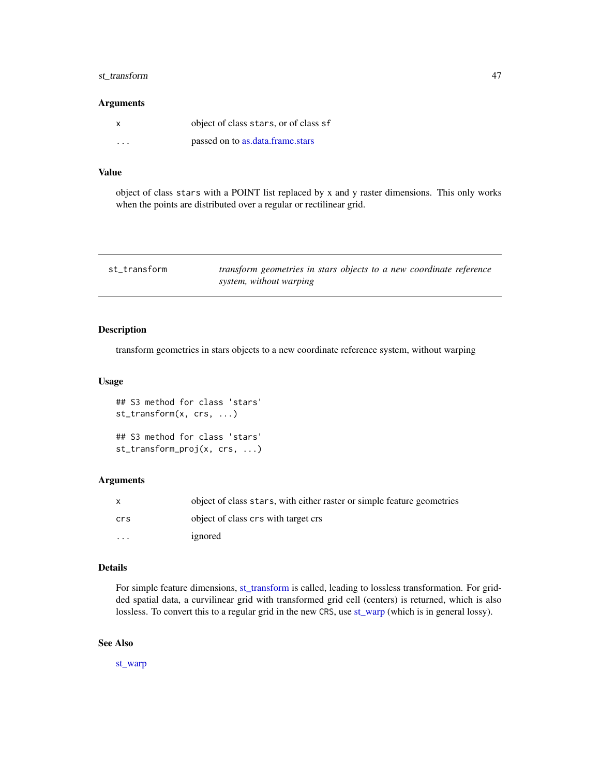## <span id="page-46-0"></span>st\_transform 47

#### Arguments

| X       | object of class stars, or of class sf |
|---------|---------------------------------------|
| $\cdot$ | passed on to as.data.frame.stars      |

## Value

object of class stars with a POINT list replaced by x and y raster dimensions. This only works when the points are distributed over a regular or rectilinear grid.

<span id="page-46-1"></span>

| st transform | transform geometries in stars objects to a new coordinate reference |
|--------------|---------------------------------------------------------------------|
|              | system, without warping                                             |

## Description

transform geometries in stars objects to a new coordinate reference system, without warping

## Usage

```
## S3 method for class 'stars'
st_transform(x, crs, ...)
## S3 method for class 'stars'
st_transform_proj(x, crs, ...)
```
#### Arguments

| $\mathsf{x}$            | object of class stars, with either raster or simple feature geometries |
|-------------------------|------------------------------------------------------------------------|
| crs                     | object of class crs with target crs                                    |
| $\cdot$ $\cdot$ $\cdot$ | ignored                                                                |

## Details

For simple feature dimensions, [st\\_transform](#page-46-1) is called, leading to lossless transformation. For gridded spatial data, a curvilinear grid with transformed grid cell (centers) is returned, which is also lossless. To convert this to a regular grid in the new CRS, use [st\\_warp](#page-47-1) (which is in general lossy).

#### See Also

[st\\_warp](#page-47-1)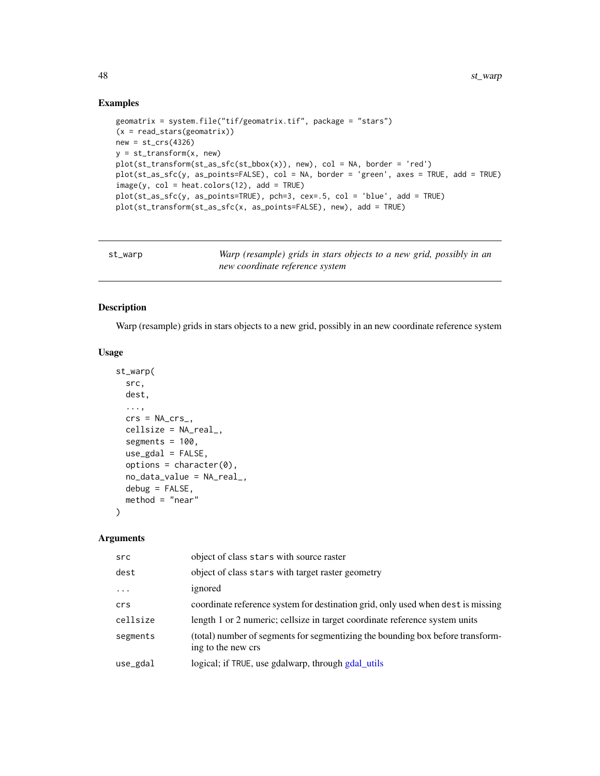## Examples

```
geomatrix = system.file("tif/geomatrix.tif", package = "stars")
(x = read\_stars(geomatrix))new = st_crs(4326)y = st_transform(x, new)plot(st_transform(st_as_sfc(st_bbox(x)), new), col = NA, border = 'red')
plot(st_as_sfc(y, as_points=FALSE), col = NA, border = 'green', axes = TRUE, add = TRUE)
image(y, col = heatcolor(12), add = TRUE)plot(st_as_sfc(y, as_points=TRUE), pch=3, cex=.5, col = 'blue', add = TRUE)
plot(st_transform(st_as_sfc(x, as_points=FALSE), new), add = TRUE)
```
<span id="page-47-1"></span>

| st_warp | Warp (resample) grids in stars objects to a new grid, possibly in an |
|---------|----------------------------------------------------------------------|
|         | new coordinate reference system                                      |

## Description

Warp (resample) grids in stars objects to a new grid, possibly in an new coordinate reference system

#### Usage

```
st_warp(
  src,
 dest,
  ...,
  crs = NA_crs_cellsize = NA_real_,
 segments = 100,
 use_gdal = FALSE,
 options = character(0),
 no_data_value = NA_real_,
 debug = FALSE,method = "near"
)
```

| src      | object of class stars with source raster                                                             |
|----------|------------------------------------------------------------------------------------------------------|
| dest     | object of class stars with target raster geometry                                                    |
| $\cdot$  | ignored                                                                                              |
| crs      | coordinate reference system for destination grid, only used when dest is missing                     |
| cellsize | length 1 or 2 numeric; cellsize in target coordinate reference system units                          |
| segments | (total) number of segments for segmentizing the bounding box before transform-<br>ing to the new crs |
| use_gdal | logical; if TRUE, use gdalwarp, through gdal_utils                                                   |

<span id="page-47-0"></span>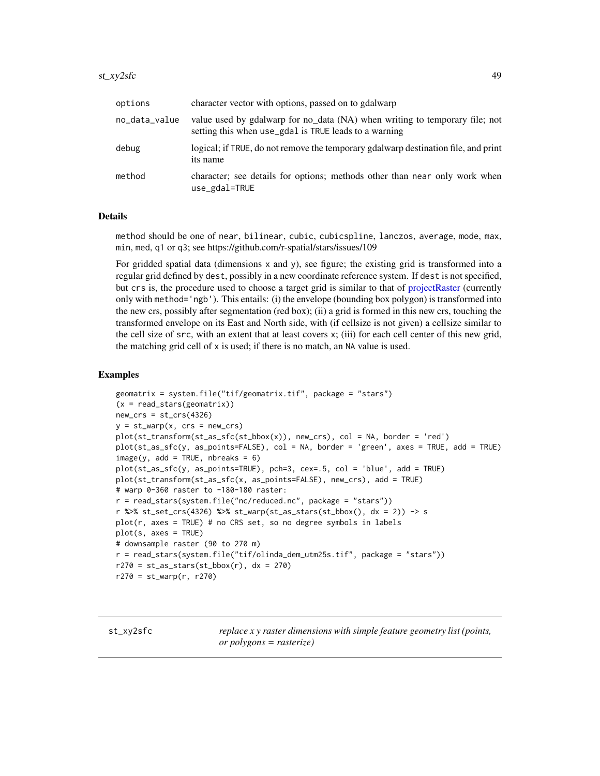#### <span id="page-48-0"></span>st\_xy2sfc 49

| options       | character vector with options, passed on to gdalwarp                                                                                 |
|---------------|--------------------------------------------------------------------------------------------------------------------------------------|
| no_data_value | value used by gdalwarp for no_data (NA) when writing to temporary file; not<br>setting this when use_gdal is TRUE leads to a warning |
| debug         | logical; if TRUE, do not remove the temporary gdalwarp destination file, and print<br>its name                                       |
| method        | character; see details for options; methods other than near only work when<br>use_gdal=TRUE                                          |

## Details

method should be one of near, bilinear, cubic, cubicspline, lanczos, average, mode, max, min, med, q1 or q3; see https://github.com/r-spatial/stars/issues/109

For gridded spatial data (dimensions  $x$  and  $y$ ), see figure; the existing grid is transformed into a regular grid defined by dest, possibly in a new coordinate reference system. If dest is not specified, but crs is, the procedure used to choose a target grid is similar to that of [projectRaster](#page-0-0) (currently only with method='ngb'). This entails: (i) the envelope (bounding box polygon) is transformed into the new crs, possibly after segmentation (red box); (ii) a grid is formed in this new crs, touching the transformed envelope on its East and North side, with (if cellsize is not given) a cellsize similar to the cell size of src, with an extent that at least covers x; (iii) for each cell center of this new grid, the matching grid cell of x is used; if there is no match, an NA value is used.

#### Examples

```
geomatrix = system.file("tif/geomatrix.tif", package = "stars")
(x = read_stars(geomatrix))
new\_crs = st_crs(4326)y = st_warp(x, crs = new_crs)plot(st_transform(st_as_sfc(st_bbox(x)), new_crs), col = NA, border = 'red')
plot(st_as_sfc(y, as_points=FALSE), col = NA, border = 'green', axes = TRUE, add = TRUE)
image(y, add = TRUE, nbreaks = 6)plot(st_as_sfc(y, as_points=TRUE), pch=3, cex=.5, col = 'blue', add = TRUE)
plot(st_transform(st_as_sfc(x, as_points=FALSE), new_crs), add = TRUE)
# warp 0-360 raster to -180-180 raster:
r = read_stars(system.file("nc/reduced.nc", package = "stars"))
r %>% st_set_crs(4326) %>% st_warp(st_as_stars(st_bbox(), dx = 2)) -> s
plot(r, axes = TRUE) # no CRS set, so no degree symbols in labels
plot(s, axes = TRUE)
# downsample raster (90 to 270 m)
r = read_stars(system.file("tif/olinda_dem_utm25s.tif", package = "stars"))
r270 = st_as\_stars(st_bbox(r), dx = 270)r270 = st_warp(r, r270)
```
st\_xy2sfc *replace x y raster dimensions with simple feature geometry list (points, or polygons = rasterize)*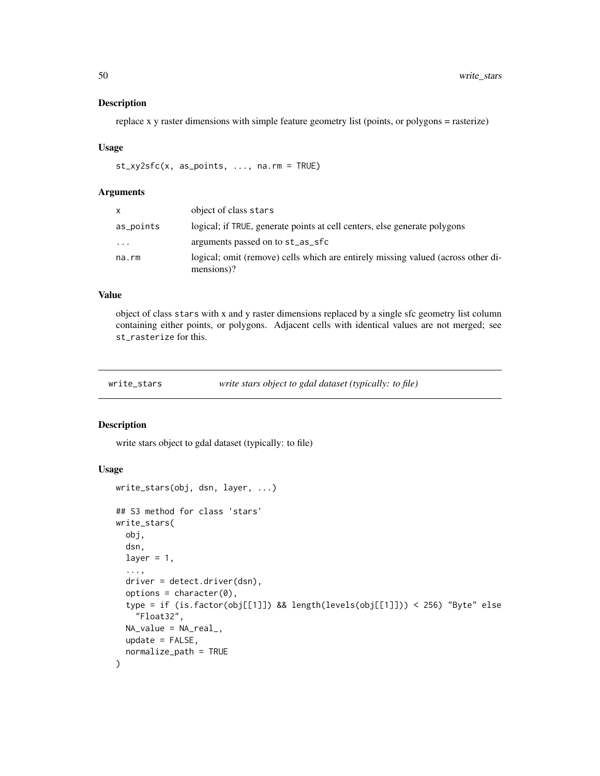replace x y raster dimensions with simple feature geometry list (points, or polygons = rasterize)

#### Usage

st\_xy2sfc(x, as\_points, ..., na.rm = TRUE)

#### Arguments

| x         | object of class stars                                                                          |
|-----------|------------------------------------------------------------------------------------------------|
| as_points | logical; if TRUE, generate points at cell centers, else generate polygons                      |
| $\cdots$  | arguments passed on to st_as_sfc                                                               |
| na.rm     | logical; omit (remove) cells which are entirely missing valued (across other di-<br>mensions)? |

#### Value

object of class stars with x and y raster dimensions replaced by a single sfc geometry list column containing either points, or polygons. Adjacent cells with identical values are not merged; see st\_rasterize for this.

| write_stars | write stars object to gdal dataset (typically: to file) |  |
|-------------|---------------------------------------------------------|--|
|             |                                                         |  |

#### Description

write stars object to gdal dataset (typically: to file)

## Usage

```
write_stars(obj, dsn, layer, ...)
## S3 method for class 'stars'
write_stars(
  obj,
  dsn,
  layer = 1,
  ...,
  driver = detect.driver(dsn),
  options = character(0),
  type = if (is.factor(obj[[1]]) && length(levels(obj[[1]])) < 256) "Byte" else
    "Float32",
 NA_value = NA_real_,
  update = FALSE,normalize_path = TRUE
)
```
<span id="page-49-0"></span>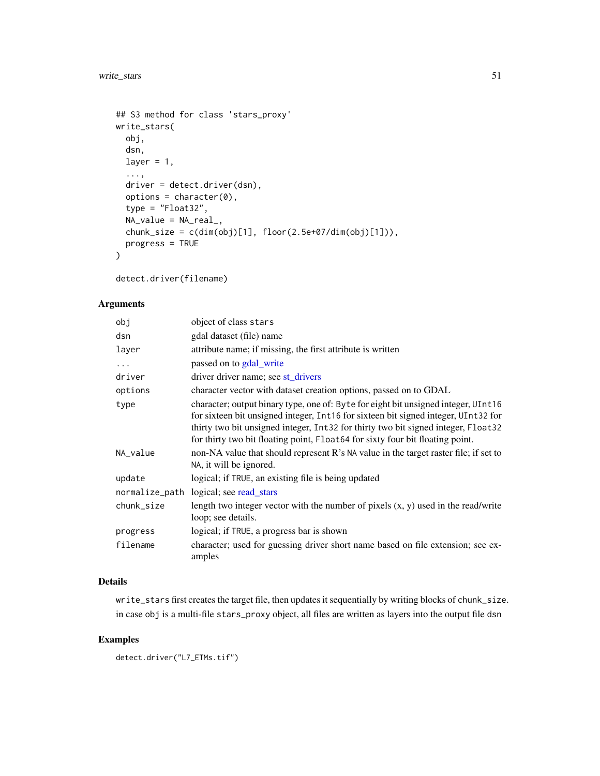```
## S3 method for class 'stars_proxy'
write_stars(
 obj,
 dsn,
 layer = 1,
  ...,
 driver = detect.driver(dsn),
 options = character(0),
 type = "Float32",
 NA_value = NA_real_,
 chunk_size = c(dim(obj)[1], floor(2.5e+07/dim(obj)[1]),progress = TRUE
)
```
detect.driver(filename)

## Arguments

| obj        | object of class stars                                                                                                                                                                                                                                                                                                                          |
|------------|------------------------------------------------------------------------------------------------------------------------------------------------------------------------------------------------------------------------------------------------------------------------------------------------------------------------------------------------|
| dsn        | gdal dataset (file) name                                                                                                                                                                                                                                                                                                                       |
| layer      | attribute name; if missing, the first attribute is written                                                                                                                                                                                                                                                                                     |
| $\cdots$   | passed on to gdal_write                                                                                                                                                                                                                                                                                                                        |
| driver     | driver driver name; see st_drivers                                                                                                                                                                                                                                                                                                             |
| options    | character vector with dataset creation options, passed on to GDAL                                                                                                                                                                                                                                                                              |
| type       | character; output binary type, one of: Byte for eight bit unsigned integer, UInt16<br>for sixteen bit unsigned integer, Int16 for sixteen bit signed integer, UInt32 for<br>thirty two bit unsigned integer, Int32 for thirty two bit signed integer, Float32<br>for thirty two bit floating point, Float64 for sixty four bit floating point. |
| NA_value   | non-NA value that should represent R's NA value in the target raster file; if set to<br>NA, it will be ignored.                                                                                                                                                                                                                                |
| update     | logical; if TRUE, an existing file is being updated                                                                                                                                                                                                                                                                                            |
|            | normalize_path logical; see read_stars                                                                                                                                                                                                                                                                                                         |
| chunk_size | length two integer vector with the number of pixels $(x, y)$ used in the read/write<br>loop; see details.                                                                                                                                                                                                                                      |
| progress   | logical; if TRUE, a progress bar is shown                                                                                                                                                                                                                                                                                                      |
| filename   | character; used for guessing driver short name based on file extension; see ex-<br>amples                                                                                                                                                                                                                                                      |

## Details

write\_stars first creates the target file, then updates it sequentially by writing blocks of chunk\_size. in case obj is a multi-file stars\_proxy object, all files are written as layers into the output file dsn

```
detect.driver("L7_ETMs.tif")
```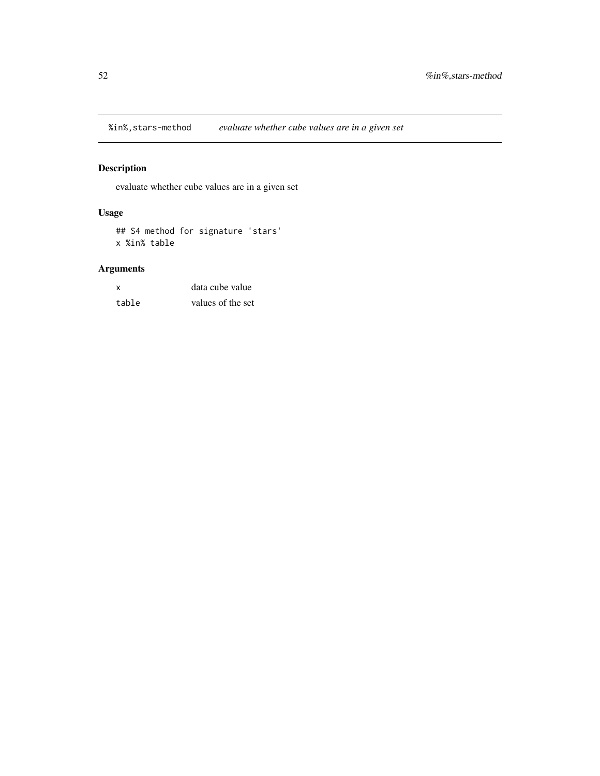<span id="page-51-0"></span>%in%,stars-method *evaluate whether cube values are in a given set*

## Description

evaluate whether cube values are in a given set

## Usage

## S4 method for signature 'stars' x %in% table

| X     | data cube value   |
|-------|-------------------|
| table | values of the set |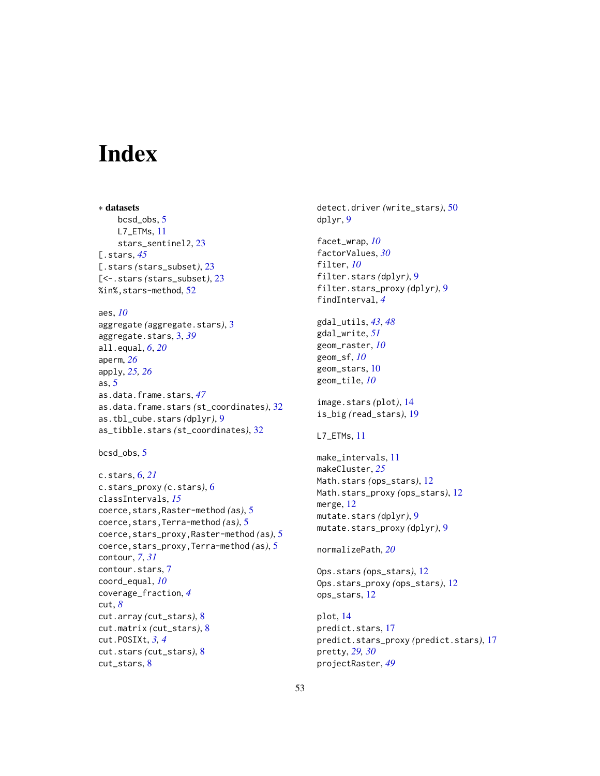# <span id="page-52-0"></span>Index

∗ datasets bcsd\_obs, [5](#page-4-0) L7\_ETMs, [11](#page-10-0) stars\_sentinel2, [23](#page-22-0) [.stars, *[45](#page-44-0)* [.stars *(*stars\_subset*)*, [23](#page-22-0) [<-.stars *(*stars\_subset*)*, [23](#page-22-0) %in%,stars-method, [52](#page-51-0) aes, *[10](#page-9-0)* aggregate *(*aggregate.stars*)*, [3](#page-2-0) aggregate.stars, [3,](#page-2-0) *[39](#page-38-0)* all.equal, *[6](#page-5-0)*, *[20](#page-19-0)* aperm, *[26](#page-25-0)* apply, *[25,](#page-24-0) [26](#page-25-0)* as, [5](#page-4-0) as.data.frame.stars, *[47](#page-46-0)* as.data.frame.stars *(*st\_coordinates*)*, [32](#page-31-0) as.tbl\_cube.stars *(*dplyr*)*, [9](#page-8-0) as\_tibble.stars *(*st\_coordinates*)*, [32](#page-31-0)

```
bcsd_obs, 5
```

```
c.stars, 6, 21
c.stars_proxy (c.stars), 6
classIntervals, 15
coerce,stars,Raster-method (as), 5
coerce,stars,Terra-method (as), 5
coerce,stars_proxy,Raster-method (as), 5
coerce,stars_proxy,Terra-method (as), 5
contour, 7, 31
contour.stars, 7
coord_equal, 10
coverage_fraction, 4
cut, 8
cut.array (cut_stars), 8
cut.matrix (cut_stars), 8
cut.POSIXt, 3, 4
cut.stars (cut_stars), 8
cut_stars, 8
```
detect.driver *(*write\_stars*)*, [50](#page-49-0) dplyr, [9](#page-8-0) facet\_wrap, *[10](#page-9-0)* factorValues, *[30](#page-29-0)* filter, *[10](#page-9-0)* filter.stars *(*dplyr*)*, [9](#page-8-0) filter.stars\_proxy *(*dplyr*)*, [9](#page-8-0) findInterval, *[4](#page-3-0)* gdal\_utils, *[43](#page-42-0)*, *[48](#page-47-0)* gdal\_write, *[51](#page-50-0)* geom\_raster, *[10](#page-9-0)* geom\_sf, *[10](#page-9-0)* geom\_stars, [10](#page-9-0) geom\_tile, *[10](#page-9-0)* image.stars *(*plot*)*, [14](#page-13-0) is\_big *(*read\_stars*)*, [19](#page-18-0) L7\_ETMs, [11](#page-10-0) make\_intervals, [11](#page-10-0) makeCluster, *[25](#page-24-0)* Math.stars *(*ops\_stars*)*, [12](#page-11-0) Math.stars\_proxy *(*ops\_stars*)*, [12](#page-11-0) merge, [12](#page-11-0) mutate.stars *(*dplyr*)*, [9](#page-8-0) mutate.stars\_proxy *(*dplyr*)*, [9](#page-8-0) normalizePath, *[20](#page-19-0)* Ops.stars *(*ops\_stars*)*, [12](#page-11-0) Ops.stars\_proxy *(*ops\_stars*)*, [12](#page-11-0) ops\_stars, [12](#page-11-0) plot, [14](#page-13-0) predict.stars, [17](#page-16-0) predict.stars\_proxy *(*predict.stars*)*, [17](#page-16-0)

pretty, *[29,](#page-28-0) [30](#page-29-0)* projectRaster, *[49](#page-48-0)*